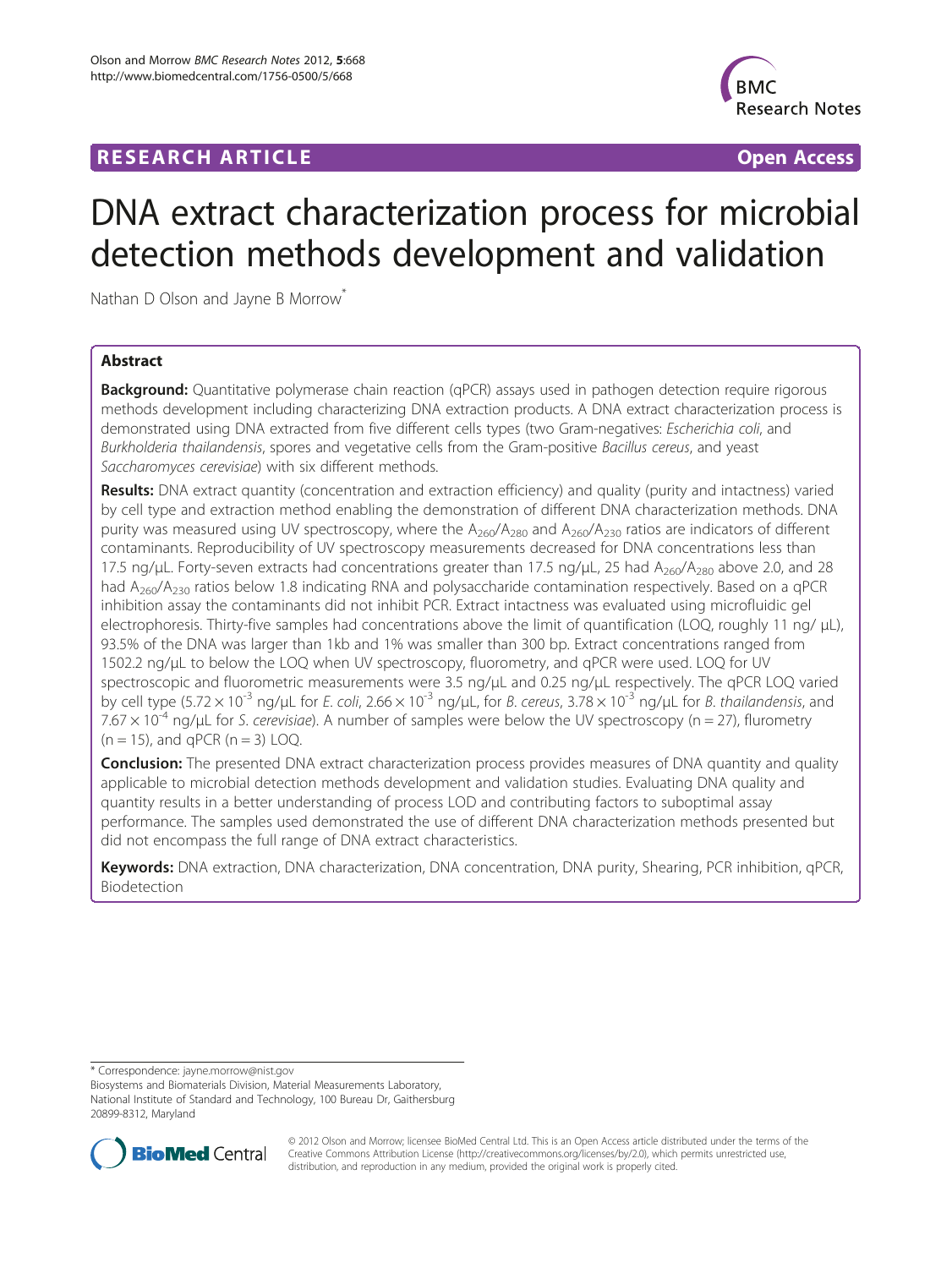## **RESEARCH ARTICLE Example 2018 12:00 Development Control** Control Control Control Control Control Control Control Control Control Control Control Control Control Control Control Control Control Control Control Control Co



# DNA extract characterization process for microbial detection methods development and validation

Nathan D Olson and Jayne B Morrow<sup>\*</sup>

## Abstract

Background: Quantitative polymerase chain reaction (qPCR) assays used in pathogen detection require rigorous methods development including characterizing DNA extraction products. A DNA extract characterization process is demonstrated using DNA extracted from five different cells types (two Gram-negatives: Escherichia coli, and Burkholderia thailandensis, spores and vegetative cells from the Gram-positive Bacillus cereus, and yeast Saccharomyces cerevisiae) with six different methods.

Results: DNA extract quantity (concentration and extraction efficiency) and quality (purity and intactness) varied by cell type and extraction method enabling the demonstration of different DNA characterization methods. DNA purity was measured using UV spectroscopy, where the  $A_{260}/A_{280}$  and  $A_{260}/A_{230}$  ratios are indicators of different contaminants. Reproducibility of UV spectroscopy measurements decreased for DNA concentrations less than 17.5 ng/μL. Forty-seven extracts had concentrations greater than 17.5 ng/μL, 25 had  $A_{260}/A_{280}$  above 2.0, and 28 had A<sub>260</sub>/A<sub>230</sub> ratios below 1.8 indicating RNA and polysaccharide contamination respectively. Based on a qPCR inhibition assay the contaminants did not inhibit PCR. Extract intactness was evaluated using microfluidic gel electrophoresis. Thirty-five samples had concentrations above the limit of quantification (LOQ, roughly 11 ng/ μL), 93.5% of the DNA was larger than 1kb and 1% was smaller than 300 bp. Extract concentrations ranged from 1502.2 ng/μL to below the LOQ when UV spectroscopy, fluorometry, and qPCR were used. LOQ for UV spectroscopic and fluorometric measurements were 3.5 ng/μL and 0.25 ng/μL respectively. The qPCR LOQ varied by cell type (5.72  $\times$  10<sup>-3</sup> ng/μL for *E. coli,* 2.66  $\times$  10<sup>-3</sup> ng/μL, for *B. cereus,* 3.78  $\times$  10<sup>-3</sup> ng/μL for *B. thailandensis*, and  $7.67 \times 10^{-4}$  ng/µL for S. cerevisiae). A number of samples were below the UV spectroscopy (n = 27), flurometry  $(n = 15)$ , and gPCR  $(n = 3)$  LOQ.

**Conclusion:** The presented DNA extract characterization process provides measures of DNA quantity and quality applicable to microbial detection methods development and validation studies. Evaluating DNA quality and quantity results in a better understanding of process LOD and contributing factors to suboptimal assay performance. The samples used demonstrated the use of different DNA characterization methods presented but did not encompass the full range of DNA extract characteristics.

Keywords: DNA extraction, DNA characterization, DNA concentration, DNA purity, Shearing, PCR inhibition, qPCR, Biodetection

\* Correspondence: [jayne.morrow@nist.gov](mailto:jayne.morrow@nist.gov)

Biosystems and Biomaterials Division, Material Measurements Laboratory, National Institute of Standard and Technology, 100 Bureau Dr, Gaithersburg 20899-8312, Maryland



© 2012 Olson and Morrow; licensee BioMed Central Ltd. This is an Open Access article distributed under the terms of the Creative Commons Attribution License (<http://creativecommons.org/licenses/by/2.0>), which permits unrestricted use, distribution, and reproduction in any medium, provided the original work is properly cited.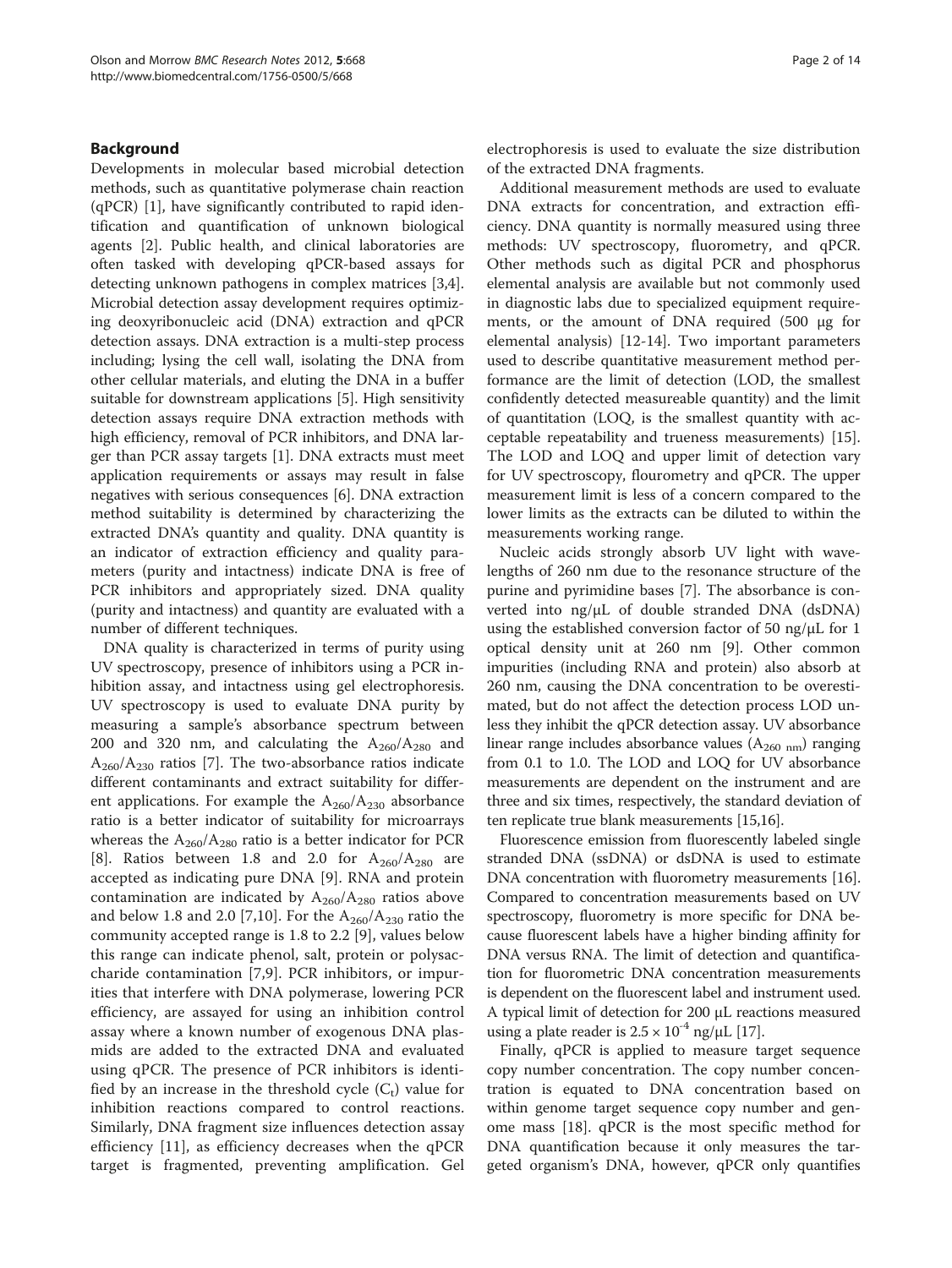## Background

Developments in molecular based microbial detection methods, such as quantitative polymerase chain reaction (qPCR) [\[1](#page-11-0)], have significantly contributed to rapid identification and quantification of unknown biological agents [\[2](#page-11-0)]. Public health, and clinical laboratories are often tasked with developing qPCR-based assays for detecting unknown pathogens in complex matrices [\[3,4](#page-11-0)]. Microbial detection assay development requires optimizing deoxyribonucleic acid (DNA) extraction and qPCR detection assays. DNA extraction is a multi-step process including; lysing the cell wall, isolating the DNA from other cellular materials, and eluting the DNA in a buffer suitable for downstream applications [[5\]](#page-11-0). High sensitivity detection assays require DNA extraction methods with high efficiency, removal of PCR inhibitors, and DNA larger than PCR assay targets [[1](#page-11-0)]. DNA extracts must meet application requirements or assays may result in false negatives with serious consequences [[6\]](#page-11-0). DNA extraction method suitability is determined by characterizing the extracted DNA's quantity and quality. DNA quantity is an indicator of extraction efficiency and quality parameters (purity and intactness) indicate DNA is free of PCR inhibitors and appropriately sized. DNA quality (purity and intactness) and quantity are evaluated with a number of different techniques.

DNA quality is characterized in terms of purity using UV spectroscopy, presence of inhibitors using a PCR inhibition assay, and intactness using gel electrophoresis. UV spectroscopy is used to evaluate DNA purity by measuring a sample's absorbance spectrum between 200 and 320 nm, and calculating the  $A_{260}/A_{280}$  and  $A_{260}/A_{230}$  ratios [[7\]](#page-11-0). The two-absorbance ratios indicate different contaminants and extract suitability for different applications. For example the  $A_{260}/A_{230}$  absorbance ratio is a better indicator of suitability for microarrays whereas the  $A_{260}/A_{280}$  ratio is a better indicator for PCR [[8\]](#page-11-0). Ratios between 1.8 and 2.0 for  $A_{260}/A_{280}$  are accepted as indicating pure DNA [[9\]](#page-11-0). RNA and protein contamination are indicated by  $A_{260}/A_{280}$  ratios above and below 1.8 and 2.0 [[7,10\]](#page-11-0). For the  $A_{260}/A_{230}$  ratio the community accepted range is 1.8 to 2.2 [[9\]](#page-11-0), values below this range can indicate phenol, salt, protein or polysaccharide contamination [[7,9](#page-11-0)]. PCR inhibitors, or impurities that interfere with DNA polymerase, lowering PCR efficiency, are assayed for using an inhibition control assay where a known number of exogenous DNA plasmids are added to the extracted DNA and evaluated using qPCR. The presence of PCR inhibitors is identified by an increase in the threshold cycle  $(C_t)$  value for inhibition reactions compared to control reactions. Similarly, DNA fragment size influences detection assay efficiency [\[11](#page-12-0)], as efficiency decreases when the qPCR target is fragmented, preventing amplification. Gel electrophoresis is used to evaluate the size distribution of the extracted DNA fragments.

Additional measurement methods are used to evaluate DNA extracts for concentration, and extraction efficiency. DNA quantity is normally measured using three methods: UV spectroscopy, fluorometry, and qPCR. Other methods such as digital PCR and phosphorus elemental analysis are available but not commonly used in diagnostic labs due to specialized equipment requirements, or the amount of DNA required (500 μg for elemental analysis) [\[12](#page-12-0)-[14](#page-12-0)]. Two important parameters used to describe quantitative measurement method performance are the limit of detection (LOD, the smallest confidently detected measureable quantity) and the limit of quantitation (LOQ, is the smallest quantity with acceptable repeatability and trueness measurements) [\[15](#page-12-0)]. The LOD and LOQ and upper limit of detection vary for UV spectroscopy, flourometry and qPCR. The upper measurement limit is less of a concern compared to the lower limits as the extracts can be diluted to within the measurements working range.

Nucleic acids strongly absorb UV light with wavelengths of 260 nm due to the resonance structure of the purine and pyrimidine bases [\[7](#page-11-0)]. The absorbance is converted into ng/μL of double stranded DNA (dsDNA) using the established conversion factor of 50 ng/ $\mu$ L for 1 optical density unit at 260 nm [[9\]](#page-11-0). Other common impurities (including RNA and protein) also absorb at 260 nm, causing the DNA concentration to be overestimated, but do not affect the detection process LOD unless they inhibit the qPCR detection assay. UV absorbance linear range includes absorbance values  $(A_{260 \ nm})$  ranging from 0.1 to 1.0. The LOD and LOQ for UV absorbance measurements are dependent on the instrument and are three and six times, respectively, the standard deviation of ten replicate true blank measurements [\[15,16](#page-12-0)].

Fluorescence emission from fluorescently labeled single stranded DNA (ssDNA) or dsDNA is used to estimate DNA concentration with fluorometry measurements [[16](#page-12-0)]. Compared to concentration measurements based on UV spectroscopy, fluorometry is more specific for DNA because fluorescent labels have a higher binding affinity for DNA versus RNA. The limit of detection and quantification for fluorometric DNA concentration measurements is dependent on the fluorescent label and instrument used. A typical limit of detection for 200 μL reactions measured using a plate reader is  $2.5 \times 10^{-4}$  ng/ $\mu$ L [[17](#page-12-0)].

Finally, qPCR is applied to measure target sequence copy number concentration. The copy number concentration is equated to DNA concentration based on within genome target sequence copy number and genome mass [[18\]](#page-12-0). qPCR is the most specific method for DNA quantification because it only measures the targeted organism's DNA, however, qPCR only quantifies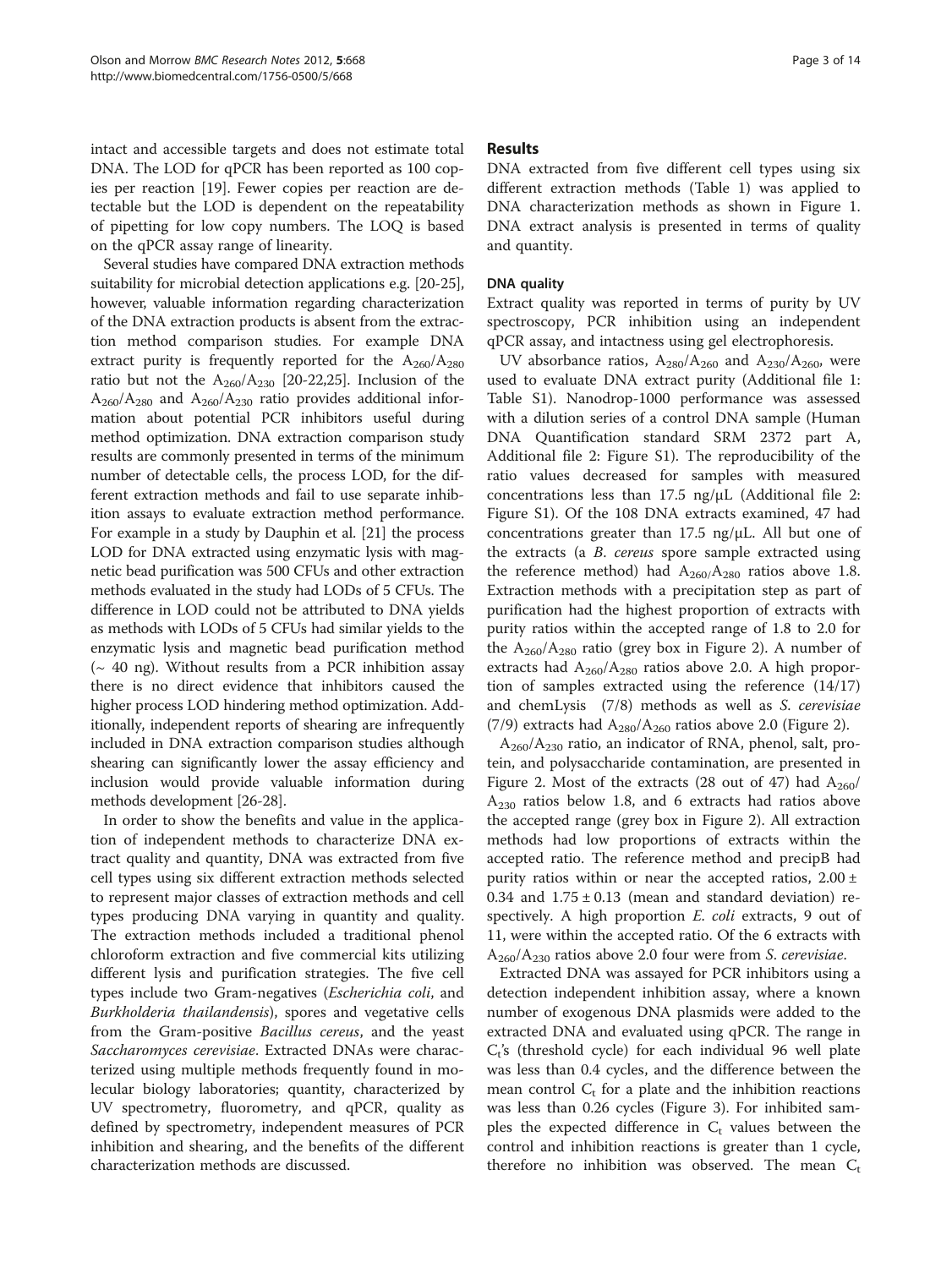intact and accessible targets and does not estimate total DNA. The LOD for qPCR has been reported as 100 copies per reaction [\[19\]](#page-12-0). Fewer copies per reaction are detectable but the LOD is dependent on the repeatability of pipetting for low copy numbers. The LOQ is based on the qPCR assay range of linearity.

Several studies have compared DNA extraction methods suitability for microbial detection applications e.g. [[20](#page-12-0)-[25](#page-12-0)], however, valuable information regarding characterization of the DNA extraction products is absent from the extraction method comparison studies. For example DNA extract purity is frequently reported for the  $A_{260}/A_{280}$ ratio but not the  $A_{260}/A_{230}$  [[20](#page-12-0)-[22,25](#page-12-0)]. Inclusion of the  $A_{260}/A_{280}$  and  $A_{260}/A_{230}$  ratio provides additional information about potential PCR inhibitors useful during method optimization. DNA extraction comparison study results are commonly presented in terms of the minimum number of detectable cells, the process LOD, for the different extraction methods and fail to use separate inhibition assays to evaluate extraction method performance. For example in a study by Dauphin et al. [\[21\]](#page-12-0) the process LOD for DNA extracted using enzymatic lysis with magnetic bead purification was 500 CFUs and other extraction methods evaluated in the study had LODs of 5 CFUs. The difference in LOD could not be attributed to DNA yields as methods with LODs of 5 CFUs had similar yields to the enzymatic lysis and magnetic bead purification method  $\sim$  40 ng). Without results from a PCR inhibition assay there is no direct evidence that inhibitors caused the higher process LOD hindering method optimization. Additionally, independent reports of shearing are infrequently included in DNA extraction comparison studies although shearing can significantly lower the assay efficiency and inclusion would provide valuable information during methods development [\[26-28](#page-12-0)].

In order to show the benefits and value in the application of independent methods to characterize DNA extract quality and quantity, DNA was extracted from five cell types using six different extraction methods selected to represent major classes of extraction methods and cell types producing DNA varying in quantity and quality. The extraction methods included a traditional phenol chloroform extraction and five commercial kits utilizing different lysis and purification strategies. The five cell types include two Gram-negatives (Escherichia coli, and Burkholderia thailandensis), spores and vegetative cells from the Gram-positive Bacillus cereus, and the yeast Saccharomyces cerevisiae. Extracted DNAs were characterized using multiple methods frequently found in molecular biology laboratories; quantity, characterized by UV spectrometry, fluorometry, and qPCR, quality as defined by spectrometry, independent measures of PCR inhibition and shearing, and the benefits of the different characterization methods are discussed.

## Results

DNA extracted from five different cell types using six different extraction methods (Table [1\)](#page-3-0) was applied to DNA characterization methods as shown in Figure [1](#page-3-0). DNA extract analysis is presented in terms of quality and quantity.

#### DNA quality

Extract quality was reported in terms of purity by UV spectroscopy, PCR inhibition using an independent qPCR assay, and intactness using gel electrophoresis.

UV absorbance ratios,  $A_{280}/A_{260}$  and  $A_{230}/A_{260}$ , were used to evaluate DNA extract purity (Additional file [1](#page-11-0): Table S1). Nanodrop-1000 performance was assessed with a dilution series of a control DNA sample (Human DNA Quantification standard SRM 2372 part A, Additional file [2](#page-11-0): Figure S1). The reproducibility of the ratio values decreased for samples with measured concentrations less than 17.5 ng/μL (Additional file [2](#page-11-0): Figure S1). Of the 108 DNA extracts examined, 47 had concentrations greater than 17.5 ng/μL. All but one of the extracts (a B. cereus spore sample extracted using the reference method) had  $A_{260}/A_{280}$  ratios above 1.8. Extraction methods with a precipitation step as part of purification had the highest proportion of extracts with purity ratios within the accepted range of 1.8 to 2.0 for the  $A_{260}/A_{280}$  ratio (grey box in Figure [2](#page-4-0)). A number of extracts had  $A_{260}/A_{280}$  ratios above 2.0. A high proportion of samples extracted using the reference (14/17) and chemLysis (7/8) methods as well as S. cerevisiae (7/9) extracts had  $A_{280}/A_{260}$  ratios above [2](#page-4-0).0 (Figure 2).

 $A_{260}/A_{230}$  ratio, an indicator of RNA, phenol, salt, protein, and polysaccharide contamination, are presented in Figure [2](#page-4-0). Most of the extracts (28 out of 47) had  $A_{260}/$  $A_{230}$  ratios below 1.8, and 6 extracts had ratios above the accepted range (grey box in Figure [2](#page-4-0)). All extraction methods had low proportions of extracts within the accepted ratio. The reference method and precipB had purity ratios within or near the accepted ratios,  $2.00 \pm$ 0.34 and  $1.75 \pm 0.13$  (mean and standard deviation) respectively. A high proportion E. coli extracts, 9 out of 11, were within the accepted ratio. Of the 6 extracts with  $A_{260}/A_{230}$  ratios above 2.0 four were from *S. cerevisiae*.

Extracted DNA was assayed for PCR inhibitors using a detection independent inhibition assay, where a known number of exogenous DNA plasmids were added to the extracted DNA and evaluated using qPCR. The range in  $C_t$ 's (threshold cycle) for each individual 96 well plate was less than 0.4 cycles, and the difference between the mean control  $C_t$  for a plate and the inhibition reactions was less than 0.26 cycles (Figure [3](#page-5-0)). For inhibited samples the expected difference in  $C_t$  values between the control and inhibition reactions is greater than 1 cycle, therefore no inhibition was observed. The mean  $C_t$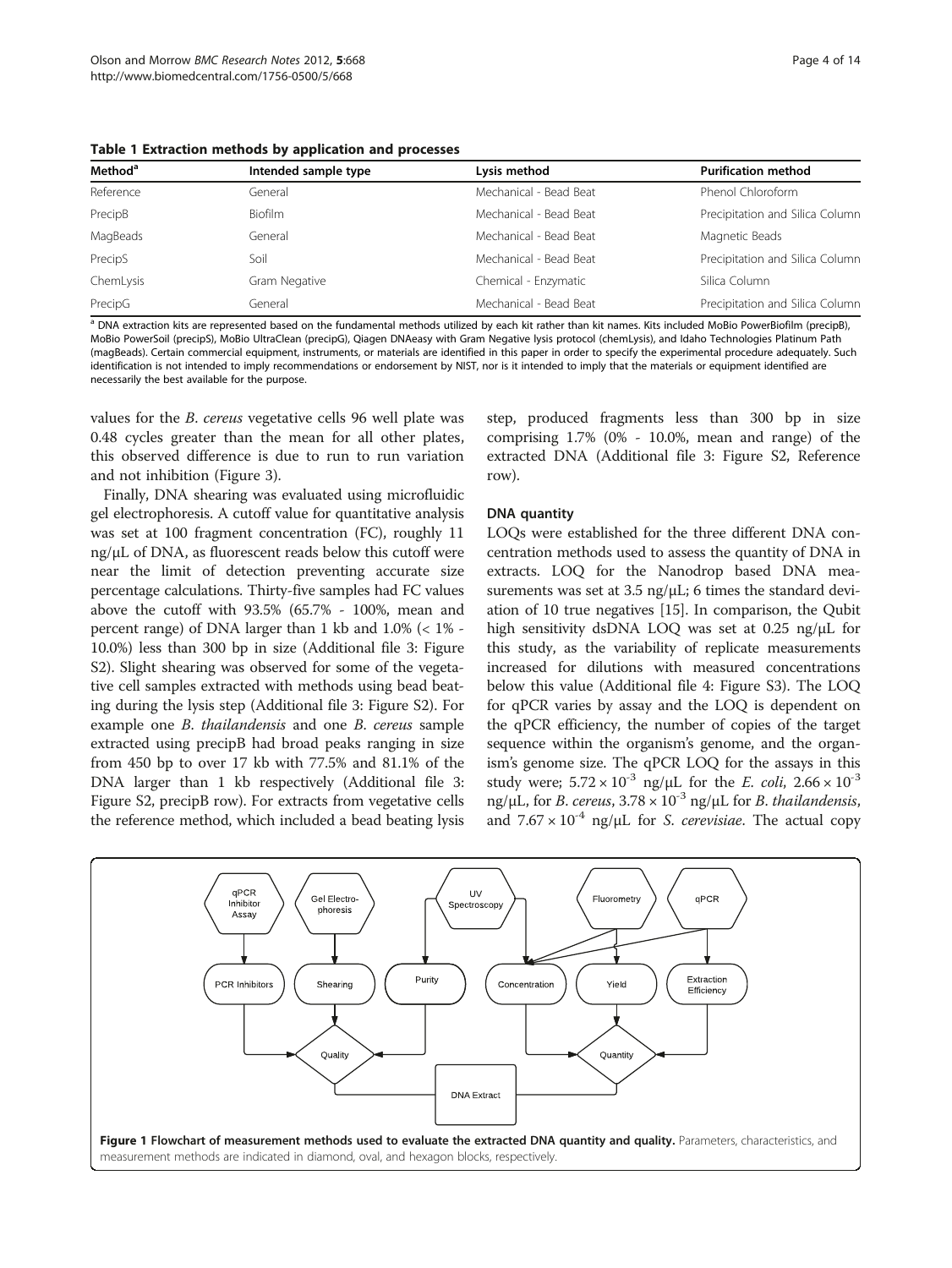| Method <sup>a</sup> | Intended sample type | Lysis method           | <b>Purification method</b>      |  |  |
|---------------------|----------------------|------------------------|---------------------------------|--|--|
| Reference           | General              | Mechanical - Bead Beat | Phenol Chloroform               |  |  |
| PrecipB             | <b>Biofilm</b>       | Mechanical - Bead Beat | Precipitation and Silica Column |  |  |
| MagBeads            | General              | Mechanical - Bead Beat | Magnetic Beads                  |  |  |
| PrecipS             | Soil                 | Mechanical - Bead Beat | Precipitation and Silica Column |  |  |
| ChemLysis           | Gram Negative        | Chemical - Enzymatic   | Silica Column                   |  |  |
| PrecipG             | General              | Mechanical - Bead Beat | Precipitation and Silica Column |  |  |

<span id="page-3-0"></span>Table 1 Extraction methods by application and processes

a DNA extraction kits are represented based on the fundamental methods utilized by each kit rather than kit names. Kits included MoBio PowerBiofilm (precipB), MoBio PowerSoil (precipS), MoBio UltraClean (precipG), Qiagen DNAeasy with Gram Negative lysis protocol (chemLysis), and Idaho Technologies Platinum Path (magBeads). Certain commercial equipment, instruments, or materials are identified in this paper in order to specify the experimental procedure adequately. Such identification is not intended to imply recommendations or endorsement by NIST, nor is it intended to imply that the materials or equipment identified are necessarily the best available for the purpose.

values for the B. cereus vegetative cells 96 well plate was 0.48 cycles greater than the mean for all other plates, this observed difference is due to run to run variation and not inhibition (Figure [3\)](#page-5-0).

Finally, DNA shearing was evaluated using microfluidic gel electrophoresis. A cutoff value for quantitative analysis was set at 100 fragment concentration (FC), roughly 11 ng/μL of DNA, as fluorescent reads below this cutoff were near the limit of detection preventing accurate size percentage calculations. Thirty-five samples had FC values above the cutoff with 93.5% (65.7% - 100%, mean and percent range) of DNA larger than 1 kb and  $1.0\%$  (<  $1\%$  -10.0%) less than 300 bp in size (Additional file [3](#page-11-0): Figure S2). Slight shearing was observed for some of the vegetative cell samples extracted with methods using bead beating during the lysis step (Additional file [3](#page-11-0): Figure S2). For example one B. thailandensis and one B. cereus sample extracted using precipB had broad peaks ranging in size from 450 bp to over 17 kb with 77.5% and 81.1% of the DNA larger than 1 kb respectively (Additional file [3](#page-11-0): Figure S2, precipB row). For extracts from vegetative cells the reference method, which included a bead beating lysis

step, produced fragments less than 300 bp in size comprising 1.7% (0% - 10.0%, mean and range) of the extracted DNA (Additional file [3](#page-11-0): Figure S2, Reference row).

#### DNA quantity

LOQs were established for the three different DNA concentration methods used to assess the quantity of DNA in extracts. LOQ for the Nanodrop based DNA measurements was set at  $3.5$  ng/ $\mu$ L; 6 times the standard deviation of 10 true negatives [\[15\]](#page-12-0). In comparison, the Qubit high sensitivity dsDNA LOQ was set at 0.25 ng/μL for this study, as the variability of replicate measurements increased for dilutions with measured concentrations below this value (Additional file [4:](#page-11-0) Figure S3). The LOQ for qPCR varies by assay and the LOQ is dependent on the qPCR efficiency, the number of copies of the target sequence within the organism's genome, and the organism's genome size. The qPCR LOQ for the assays in this study were;  $5.72 \times 10^{-3}$  ng/ $\mu$ L for the *E. coli*,  $2.66 \times 10^{-3}$ ng/μL, for *B. cereus*,  $3.78 \times 10^{-3}$  ng/μL for *B. thailandensis*, and  $7.67 \times 10^{-4}$  ng/µL for S. cerevisiae. The actual copy

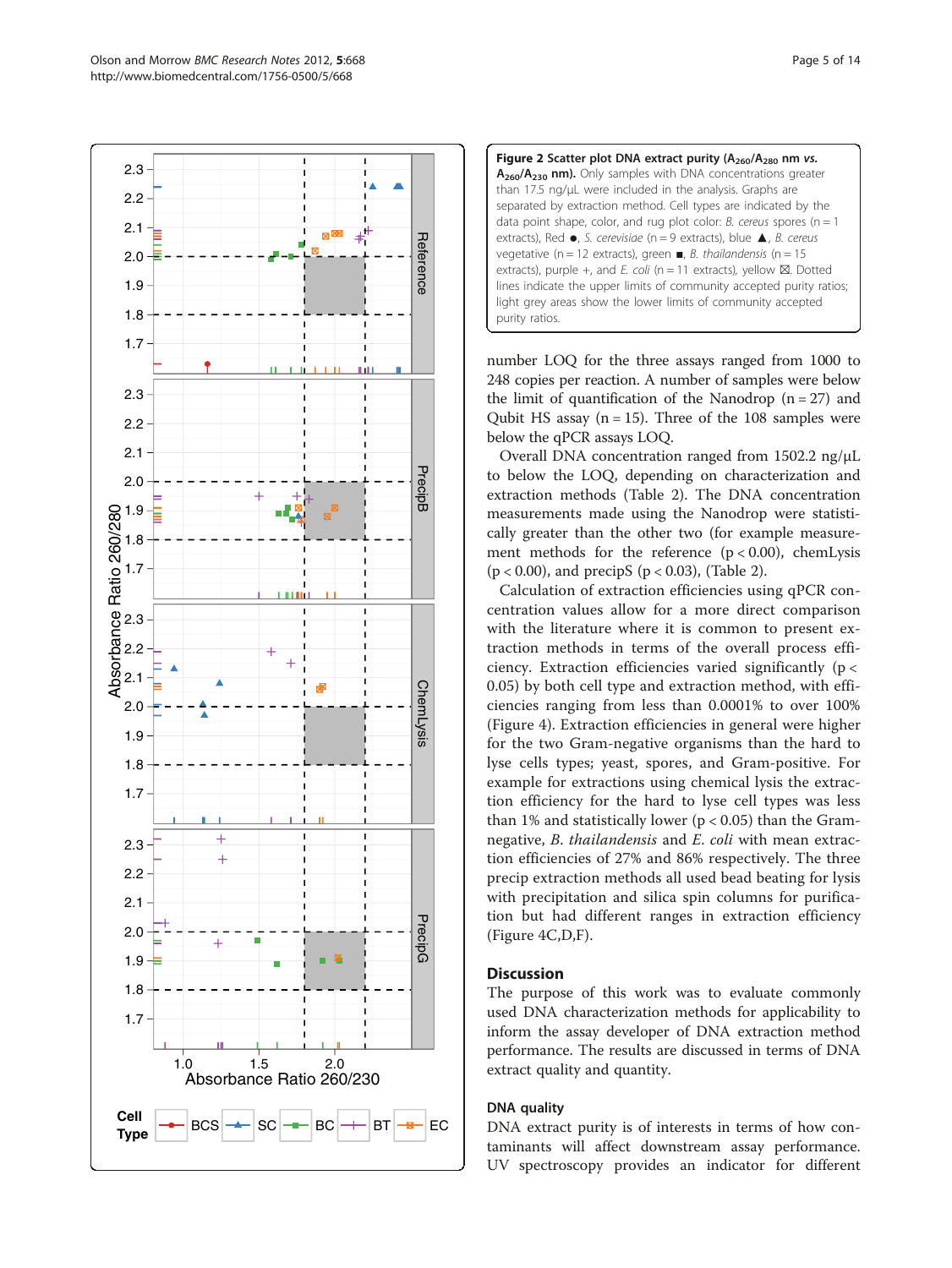<span id="page-4-0"></span>



number LOQ for the three assays ranged from 1000 to 248 copies per reaction. A number of samples were below the limit of quantification of the Nanodrop  $(n = 27)$  and Qubit HS assay  $(n = 15)$ . Three of the 108 samples were below the qPCR assays LOQ.

Overall DNA concentration ranged from 1502.2 ng/μL to below the LOQ, depending on characterization and extraction methods (Table [2](#page-5-0)). The DNA concentration measurements made using the Nanodrop were statistically greater than the other two (for example measurement methods for the reference  $(p < 0.00)$ , chemLysis  $(p < 0.00)$ , and precipS  $(p < 0.03)$ , (Table [2\)](#page-5-0).

Calculation of extraction efficiencies using qPCR concentration values allow for a more direct comparison with the literature where it is common to present extraction methods in terms of the overall process efficiency. Extraction efficiencies varied significantly ( $p <$ 0.05) by both cell type and extraction method, with efficiencies ranging from less than 0.0001% to over 100% (Figure [4](#page-6-0)). Extraction efficiencies in general were higher for the two Gram-negative organisms than the hard to lyse cells types; yeast, spores, and Gram-positive. For example for extractions using chemical lysis the extraction efficiency for the hard to lyse cell types was less than 1% and statistically lower ( $p < 0.05$ ) than the Gramnegative, *B. thailandensis* and *E. coli* with mean extraction efficiencies of 27% and 86% respectively. The three precip extraction methods all used bead beating for lysis with precipitation and silica spin columns for purification but had different ranges in extraction efficiency (Figure [4C](#page-6-0),D,F).

## **Discussion**

The purpose of this work was to evaluate commonly used DNA characterization methods for applicability to inform the assay developer of DNA extraction method performance. The results are discussed in terms of DNA extract quality and quantity.

## DNA quality

DNA extract purity is of interests in terms of how contaminants will affect downstream assay performance. UV spectroscopy provides an indicator for different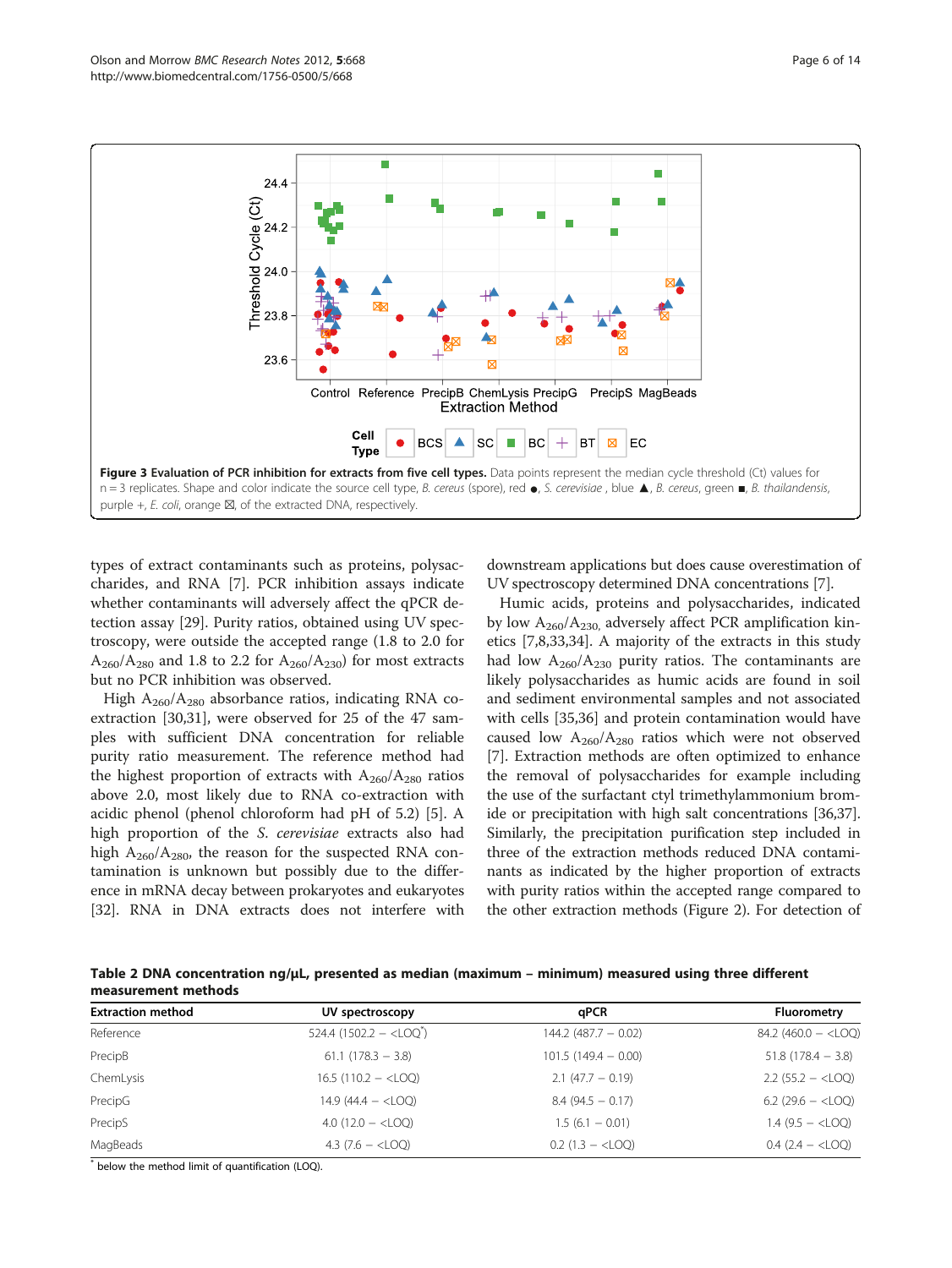<span id="page-5-0"></span>

types of extract contaminants such as proteins, polysaccharides, and RNA [\[7\]](#page-11-0). PCR inhibition assays indicate whether contaminants will adversely affect the qPCR detection assay [\[29](#page-12-0)]. Purity ratios, obtained using UV spectroscopy, were outside the accepted range (1.8 to 2.0 for  $A_{260}/A_{280}$  and 1.8 to 2.2 for  $A_{260}/A_{230}$  for most extracts but no PCR inhibition was observed.

High  $A_{260}/A_{280}$  absorbance ratios, indicating RNA coextraction [[30,31\]](#page-12-0), were observed for 25 of the 47 samples with sufficient DNA concentration for reliable purity ratio measurement. The reference method had the highest proportion of extracts with  $A_{260}/A_{280}$  ratios above 2.0, most likely due to RNA co-extraction with acidic phenol (phenol chloroform had pH of 5.2) [[5\]](#page-11-0). A high proportion of the S. cerevisiae extracts also had high  $A_{260}/A_{280}$ , the reason for the suspected RNA contamination is unknown but possibly due to the difference in mRNA decay between prokaryotes and eukaryotes [[32](#page-12-0)]. RNA in DNA extracts does not interfere with

downstream applications but does cause overestimation of UV spectroscopy determined DNA concentrations [\[7\]](#page-11-0).

Humic acids, proteins and polysaccharides, indicated by low  $A_{260}/A_{230}$  adversely affect PCR amplification kinetics [[7,8,](#page-11-0)[33,34\]](#page-12-0). A majority of the extracts in this study had low  $A_{260}/A_{230}$  purity ratios. The contaminants are likely polysaccharides as humic acids are found in soil and sediment environmental samples and not associated with cells [[35,36\]](#page-12-0) and protein contamination would have caused low  $A_{260}/A_{280}$  ratios which were not observed [[7\]](#page-11-0). Extraction methods are often optimized to enhance the removal of polysaccharides for example including the use of the surfactant ctyl trimethylammonium bromide or precipitation with high salt concentrations [\[36,37](#page-12-0)]. Similarly, the precipitation purification step included in three of the extraction methods reduced DNA contaminants as indicated by the higher proportion of extracts with purity ratios within the accepted range compared to the other extraction methods (Figure [2](#page-4-0)). For detection of

Table 2 DNA concentration ng/μL, presented as median (maximum – minimum) measured using three different measurement methods

| <b>Extraction method</b> | UV spectroscopy               | qPCR                                                                         | <b>Fluorometry</b>                    |  |  |
|--------------------------|-------------------------------|------------------------------------------------------------------------------|---------------------------------------|--|--|
| Reference                | $524.4$ (1502.2 - < $LOQ^T$ ) | $144.2$ (487.7 - 0.02)                                                       | 84.2 (460.0 $-$ <loq)< td=""></loq)<> |  |  |
| PrecipB                  | $61.1(178.3 - 3.8)$           | $101.5(149.4 - 0.00)$                                                        | $51.8(178.4 - 3.8)$                   |  |  |
| ChemLysis                | $16.5(110.2 - < LOO)$         | $2.1(47.7 - 0.19)$                                                           | $2.2$ (55.2 $-$ <loq)< td=""></loq)<> |  |  |
| PrecipG                  | $14.9(44.4 - <$ LOO)          | $8.4(94.5 - 0.17)$                                                           | $6.2$ (29.6 $-$ <loq)< td=""></loq)<> |  |  |
| PrecipS                  | 4.0 $(12.0 - <$ LOQ)          | $1.5(6.1 - 0.01)$                                                            | $1.4(9.5 - <$ LOQ)                    |  |  |
| MagBeads                 | 4.3 $(7.6 - <$ LOO)           | $0.2$ (1.3 $-$ <loq)< td=""><td><math>0.4(2.4 - &lt;</math>LOO)</td></loq)<> | $0.4(2.4 - <$ LOO)                    |  |  |

\* below the method limit of quantification (LOQ).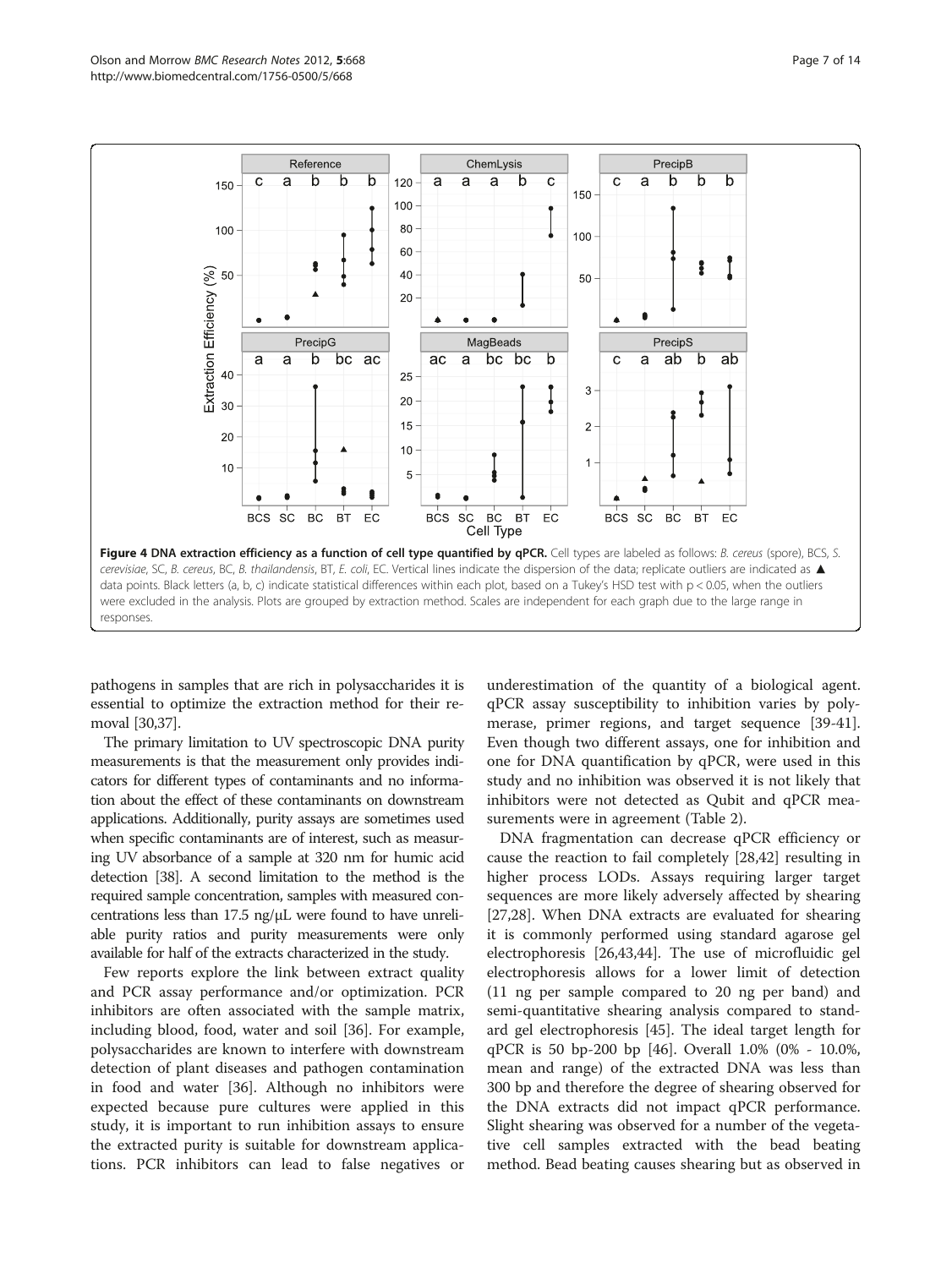<span id="page-6-0"></span>

pathogens in samples that are rich in polysaccharides it is essential to optimize the extraction method for their removal [[30,37](#page-12-0)].

The primary limitation to UV spectroscopic DNA purity measurements is that the measurement only provides indicators for different types of contaminants and no information about the effect of these contaminants on downstream applications. Additionally, purity assays are sometimes used when specific contaminants are of interest, such as measuring UV absorbance of a sample at 320 nm for humic acid detection [\[38](#page-12-0)]. A second limitation to the method is the required sample concentration, samples with measured concentrations less than 17.5 ng/μL were found to have unreliable purity ratios and purity measurements were only available for half of the extracts characterized in the study.

Few reports explore the link between extract quality and PCR assay performance and/or optimization. PCR inhibitors are often associated with the sample matrix, including blood, food, water and soil [[36\]](#page-12-0). For example, polysaccharides are known to interfere with downstream detection of plant diseases and pathogen contamination in food and water [[36\]](#page-12-0). Although no inhibitors were expected because pure cultures were applied in this study, it is important to run inhibition assays to ensure the extracted purity is suitable for downstream applications. PCR inhibitors can lead to false negatives or

underestimation of the quantity of a biological agent. qPCR assay susceptibility to inhibition varies by polymerase, primer regions, and target sequence [\[39-41](#page-12-0)]. Even though two different assays, one for inhibition and one for DNA quantification by qPCR, were used in this study and no inhibition was observed it is not likely that inhibitors were not detected as Qubit and qPCR measurements were in agreement (Table [2\)](#page-5-0).

DNA fragmentation can decrease qPCR efficiency or cause the reaction to fail completely [[28,42\]](#page-12-0) resulting in higher process LODs. Assays requiring larger target sequences are more likely adversely affected by shearing [[27,28\]](#page-12-0). When DNA extracts are evaluated for shearing it is commonly performed using standard agarose gel electrophoresis [[26,43,44\]](#page-12-0). The use of microfluidic gel electrophoresis allows for a lower limit of detection (11 ng per sample compared to 20 ng per band) and semi-quantitative shearing analysis compared to standard gel electrophoresis [[45\]](#page-12-0). The ideal target length for qPCR is 50 bp-200 bp [[46](#page-12-0)]. Overall 1.0% (0% - 10.0%, mean and range) of the extracted DNA was less than 300 bp and therefore the degree of shearing observed for the DNA extracts did not impact qPCR performance. Slight shearing was observed for a number of the vegetative cell samples extracted with the bead beating method. Bead beating causes shearing but as observed in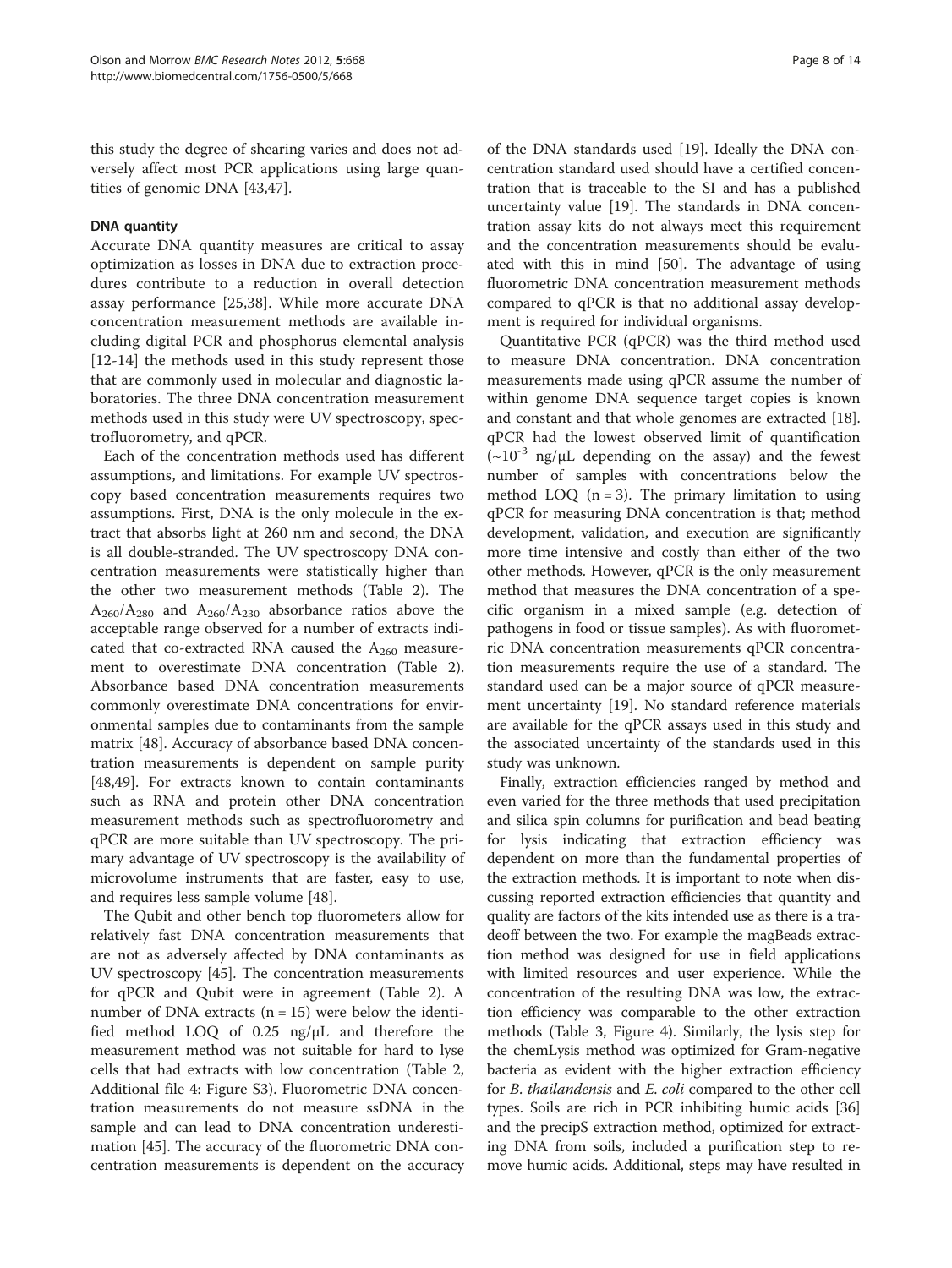this study the degree of shearing varies and does not adversely affect most PCR applications using large quantities of genomic DNA [[43](#page-12-0),[47](#page-12-0)].

#### DNA quantity

Accurate DNA quantity measures are critical to assay optimization as losses in DNA due to extraction procedures contribute to a reduction in overall detection assay performance [\[25](#page-12-0),[38\]](#page-12-0). While more accurate DNA concentration measurement methods are available including digital PCR and phosphorus elemental analysis [[12-14\]](#page-12-0) the methods used in this study represent those that are commonly used in molecular and diagnostic laboratories. The three DNA concentration measurement methods used in this study were UV spectroscopy, spectrofluorometry, and qPCR.

Each of the concentration methods used has different assumptions, and limitations. For example UV spectroscopy based concentration measurements requires two assumptions. First, DNA is the only molecule in the extract that absorbs light at 260 nm and second, the DNA is all double-stranded. The UV spectroscopy DNA concentration measurements were statistically higher than the other two measurement methods (Table [2](#page-5-0)). The  $A_{260}/A_{280}$  and  $A_{260}/A_{230}$  absorbance ratios above the acceptable range observed for a number of extracts indicated that co-extracted RNA caused the  $A_{260}$  measurement to overestimate DNA concentration (Table [2](#page-5-0)). Absorbance based DNA concentration measurements commonly overestimate DNA concentrations for environmental samples due to contaminants from the sample matrix [[48](#page-12-0)]. Accuracy of absorbance based DNA concentration measurements is dependent on sample purity [[48,49\]](#page-12-0). For extracts known to contain contaminants such as RNA and protein other DNA concentration measurement methods such as spectrofluorometry and qPCR are more suitable than UV spectroscopy. The primary advantage of UV spectroscopy is the availability of microvolume instruments that are faster, easy to use, and requires less sample volume [[48\]](#page-12-0).

The Qubit and other bench top fluorometers allow for relatively fast DNA concentration measurements that are not as adversely affected by DNA contaminants as UV spectroscopy [[45\]](#page-12-0). The concentration measurements for qPCR and Qubit were in agreement (Table [2](#page-5-0)). A number of DNA extracts  $(n = 15)$  were below the identified method LOQ of 0.25 ng/μL and therefore the measurement method was not suitable for hard to lyse cells that had extracts with low concentration (Table [2](#page-5-0), Additional file [4:](#page-11-0) Figure S3). Fluorometric DNA concentration measurements do not measure ssDNA in the sample and can lead to DNA concentration underestimation [[45](#page-12-0)]. The accuracy of the fluorometric DNA concentration measurements is dependent on the accuracy

of the DNA standards used [[19\]](#page-12-0). Ideally the DNA concentration standard used should have a certified concentration that is traceable to the SI and has a published uncertainty value [\[19\]](#page-12-0). The standards in DNA concentration assay kits do not always meet this requirement and the concentration measurements should be evaluated with this in mind [[50\]](#page-12-0). The advantage of using fluorometric DNA concentration measurement methods compared to qPCR is that no additional assay development is required for individual organisms.

Quantitative PCR (qPCR) was the third method used to measure DNA concentration. DNA concentration measurements made using qPCR assume the number of within genome DNA sequence target copies is known and constant and that whole genomes are extracted [\[18](#page-12-0)]. qPCR had the lowest observed limit of quantification  $(-10^{-3}$  ng/μL depending on the assay) and the fewest number of samples with concentrations below the method LOQ  $(n = 3)$ . The primary limitation to using qPCR for measuring DNA concentration is that; method development, validation, and execution are significantly more time intensive and costly than either of the two other methods. However, qPCR is the only measurement method that measures the DNA concentration of a specific organism in a mixed sample (e.g. detection of pathogens in food or tissue samples). As with fluorometric DNA concentration measurements qPCR concentration measurements require the use of a standard. The standard used can be a major source of qPCR measurement uncertainty [[19\]](#page-12-0). No standard reference materials are available for the qPCR assays used in this study and the associated uncertainty of the standards used in this study was unknown.

Finally, extraction efficiencies ranged by method and even varied for the three methods that used precipitation and silica spin columns for purification and bead beating for lysis indicating that extraction efficiency was dependent on more than the fundamental properties of the extraction methods. It is important to note when discussing reported extraction efficiencies that quantity and quality are factors of the kits intended use as there is a tradeoff between the two. For example the magBeads extraction method was designed for use in field applications with limited resources and user experience. While the concentration of the resulting DNA was low, the extraction efficiency was comparable to the other extraction methods (Table [3](#page-8-0), Figure [4](#page-6-0)). Similarly, the lysis step for the chemLysis method was optimized for Gram-negative bacteria as evident with the higher extraction efficiency for B. thailandensis and E. coli compared to the other cell types. Soils are rich in PCR inhibiting humic acids [[36](#page-12-0)] and the precipS extraction method, optimized for extracting DNA from soils, included a purification step to remove humic acids. Additional, steps may have resulted in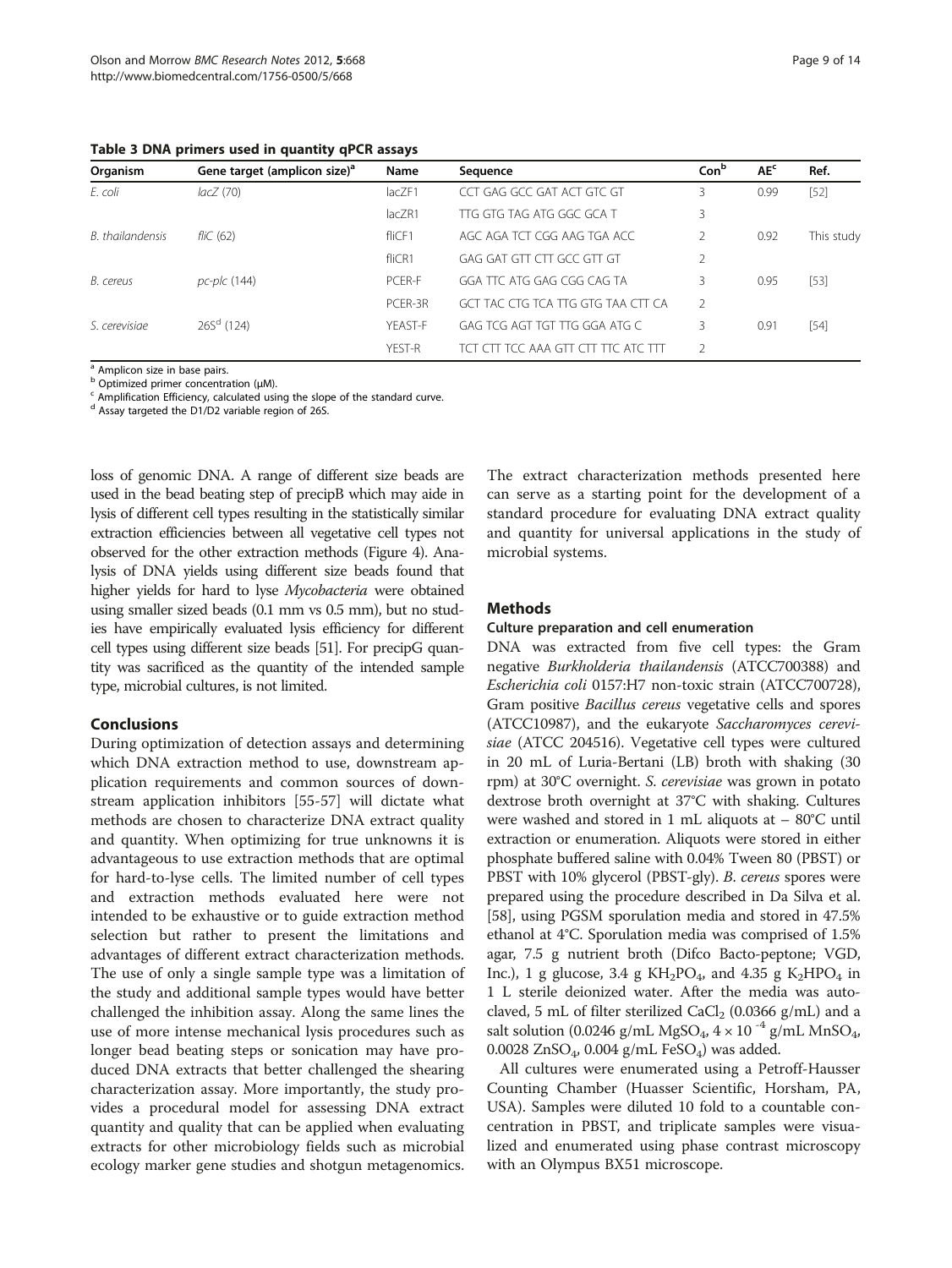<span id="page-8-0"></span>Table 3 DNA primers used in quantity qPCR assays

| rawie <i>o prar</i> primers asea in quantury quen assays |                                          |         |                                     |                  |                 |            |  |  |  |
|----------------------------------------------------------|------------------------------------------|---------|-------------------------------------|------------------|-----------------|------------|--|--|--|
| Organism                                                 | Gene target (amplicon size) <sup>a</sup> | Name    | Sequence                            | Con <sup>b</sup> | AE <sup>c</sup> | Ref.       |  |  |  |
| E. coli                                                  | lacZ(70)                                 | lacZF1  | CCT GAG GCC GAT ACT GTC GT          |                  | 0.99            | $[52]$     |  |  |  |
|                                                          |                                          | lacZR1  | TTG GTG TAG ATG GGC GCA T           |                  |                 |            |  |  |  |
| B. thailandensis                                         | fli $C(62)$                              | fliCF1  | AGC AGA TCT CGG AAG TGA ACC         |                  | 0.92            | This study |  |  |  |
|                                                          |                                          | fliCR1  | GAG GAT GTT CTT GCC GTT GT          |                  |                 |            |  |  |  |
| B. cereus                                                | pc-plc (144)                             | PCFR-F  | GGA TTC ATG GAG CGG CAG TA          |                  | 0.95            | $[53]$     |  |  |  |
|                                                          |                                          | PCFR-3R | GCT TAC CTG TCA TTG GTG TAA CTT CA  | $\mathcal{L}$    |                 |            |  |  |  |
| S. cerevisiae                                            | $26Sd$ (124)                             | YFAST-F | GAG TCG AGT TGT TTG GGA ATG C       |                  | 0.91            | $[54]$     |  |  |  |
|                                                          |                                          | YEST-R  | TCT CTT TCC AAA GTT CTT TTC ATC TTT |                  |                 |            |  |  |  |

 $\frac{a}{a}$  Amplicon size in base pairs.<br>
b Optimized primer concentration (µM).

 $\epsilon$  Amplification Efficiency, calculated using the slope of the standard curve.

<sup>d</sup> Assay targeted the D1/D2 variable region of 26S.

loss of genomic DNA. A range of different size beads are used in the bead beating step of precipB which may aide in lysis of different cell types resulting in the statistically similar extraction efficiencies between all vegetative cell types not observed for the other extraction methods (Figure [4\)](#page-6-0). Analysis of DNA yields using different size beads found that higher yields for hard to lyse Mycobacteria were obtained using smaller sized beads (0.1 mm vs 0.5 mm), but no studies have empirically evaluated lysis efficiency for different cell types using different size beads [[51](#page-12-0)]. For precipG quantity was sacrificed as the quantity of the intended sample type, microbial cultures, is not limited.

## Conclusions

During optimization of detection assays and determining which DNA extraction method to use, downstream application requirements and common sources of downstream application inhibitors [\[55](#page-12-0)-[57](#page-12-0)] will dictate what methods are chosen to characterize DNA extract quality and quantity. When optimizing for true unknowns it is advantageous to use extraction methods that are optimal for hard-to-lyse cells. The limited number of cell types and extraction methods evaluated here were not intended to be exhaustive or to guide extraction method selection but rather to present the limitations and advantages of different extract characterization methods. The use of only a single sample type was a limitation of the study and additional sample types would have better challenged the inhibition assay. Along the same lines the use of more intense mechanical lysis procedures such as longer bead beating steps or sonication may have produced DNA extracts that better challenged the shearing characterization assay. More importantly, the study provides a procedural model for assessing DNA extract quantity and quality that can be applied when evaluating extracts for other microbiology fields such as microbial ecology marker gene studies and shotgun metagenomics.

The extract characterization methods presented here can serve as a starting point for the development of a standard procedure for evaluating DNA extract quality

and quantity for universal applications in the study of

#### Methods

microbial systems.

#### Culture preparation and cell enumeration

DNA was extracted from five cell types: the Gram negative Burkholderia thailandensis (ATCC700388) and Escherichia coli 0157:H7 non-toxic strain (ATCC700728), Gram positive Bacillus cereus vegetative cells and spores (ATCC10987), and the eukaryote Saccharomyces cerevisiae (ATCC 204516). Vegetative cell types were cultured in 20 mL of Luria-Bertani (LB) broth with shaking (30 rpm) at 30°C overnight. S. cerevisiae was grown in potato dextrose broth overnight at 37°C with shaking. Cultures were washed and stored in 1 mL aliquots at – 80°C until extraction or enumeration. Aliquots were stored in either phosphate buffered saline with 0.04% Tween 80 (PBST) or PBST with 10% glycerol (PBST-gly). B. cereus spores were prepared using the procedure described in Da Silva et al. [[58](#page-13-0)], using PGSM sporulation media and stored in 47.5% ethanol at 4°C. Sporulation media was comprised of 1.5% agar, 7.5 g nutrient broth (Difco Bacto-peptone; VGD, Inc.), 1 g glucose, 3.4 g  $KH_2PO_4$ , and 4.35 g  $K_2HPO_4$  in 1 L sterile deionized water. After the media was autoclaved, 5 mL of filter sterilized CaCl<sub>2</sub> (0.0366 g/mL) and a salt solution (0.0246 g/mL MgSO<sub>4</sub>,  $4 \times 10^{-4}$  g/mL MnSO<sub>4</sub>, 0.0028  $ZnSO_4$ , 0.004 g/mL FeSO<sub>4</sub>) was added.

All cultures were enumerated using a Petroff-Hausser Counting Chamber (Huasser Scientific, Horsham, PA, USA). Samples were diluted 10 fold to a countable concentration in PBST, and triplicate samples were visualized and enumerated using phase contrast microscopy with an Olympus BX51 microscope.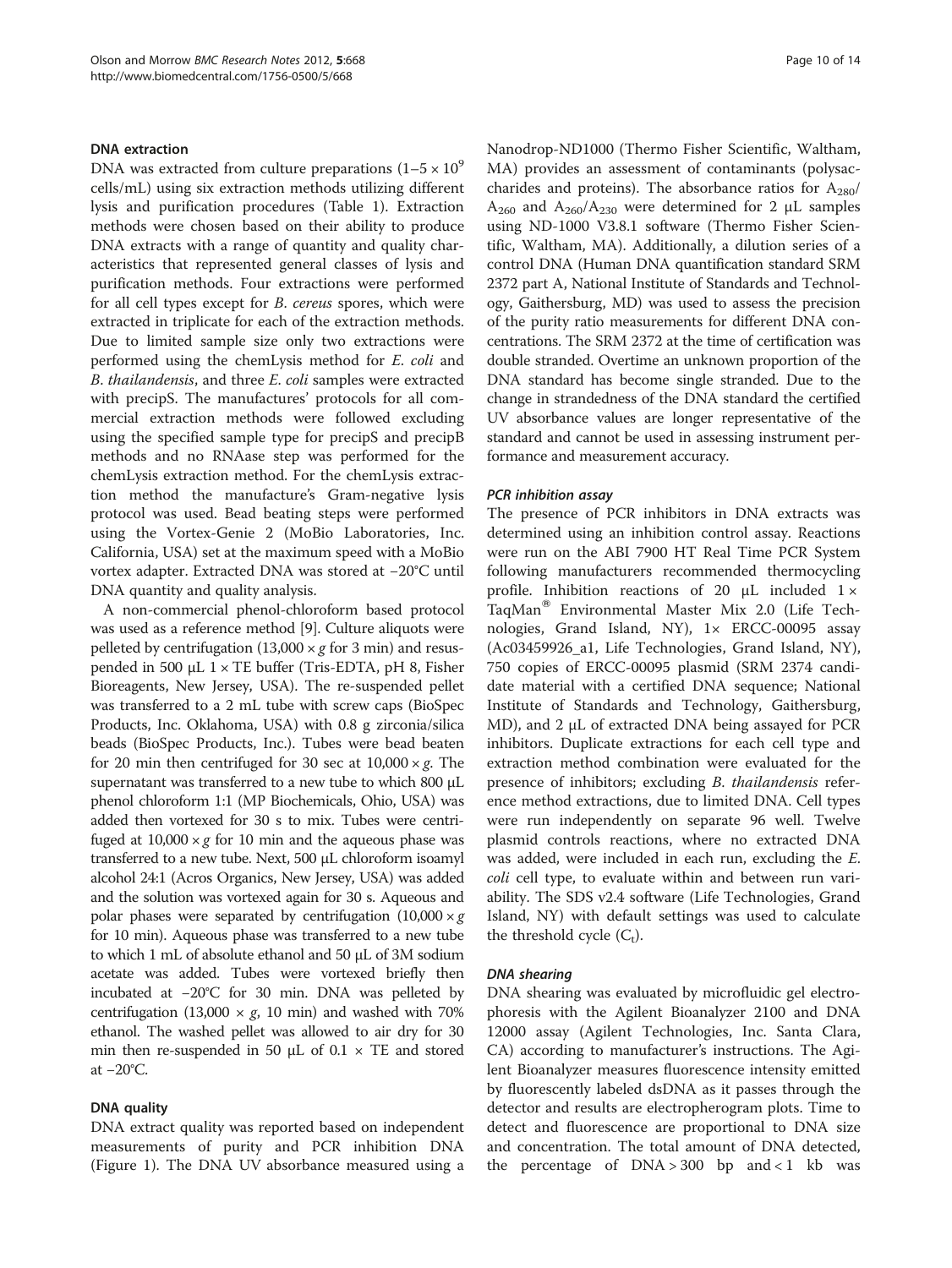#### DNA extraction

DNA was extracted from culture preparations  $(1-5 \times 10^9)$ cells/mL) using six extraction methods utilizing different lysis and purification procedures (Table [1\)](#page-3-0). Extraction methods were chosen based on their ability to produce DNA extracts with a range of quantity and quality characteristics that represented general classes of lysis and purification methods. Four extractions were performed for all cell types except for B. cereus spores, which were extracted in triplicate for each of the extraction methods. Due to limited sample size only two extractions were performed using the chemLysis method for E. coli and B. thailandensis, and three E. coli samples were extracted with precipS. The manufactures' protocols for all commercial extraction methods were followed excluding using the specified sample type for precipS and precipB methods and no RNAase step was performed for the chemLysis extraction method. For the chemLysis extraction method the manufacture's Gram-negative lysis protocol was used. Bead beating steps were performed using the Vortex-Genie 2 (MoBio Laboratories, Inc. California, USA) set at the maximum speed with a MoBio vortex adapter. Extracted DNA was stored at −20°C until DNA quantity and quality analysis.

A non-commercial phenol-chloroform based protocol was used as a reference method [[9\]](#page-11-0). Culture aliquots were pelleted by centrifugation  $(13,000 \times g$  for 3 min) and resuspended in 500 μL  $1 \times$  TE buffer (Tris-EDTA, pH 8, Fisher Bioreagents, New Jersey, USA). The re-suspended pellet was transferred to a 2 mL tube with screw caps (BioSpec Products, Inc. Oklahoma, USA) with 0.8 g zirconia/silica beads (BioSpec Products, Inc.). Tubes were bead beaten for 20 min then centrifuged for 30 sec at  $10,000 \times g$ . The supernatant was transferred to a new tube to which 800 μL phenol chloroform 1:1 (MP Biochemicals, Ohio, USA) was added then vortexed for 30 s to mix. Tubes were centrifuged at  $10,000 \times g$  for 10 min and the aqueous phase was transferred to a new tube. Next, 500 μL chloroform isoamyl alcohol 24:1 (Acros Organics, New Jersey, USA) was added and the solution was vortexed again for 30 s. Aqueous and polar phases were separated by centrifugation  $(10,000 \times g)$ for 10 min). Aqueous phase was transferred to a new tube to which 1 mL of absolute ethanol and 50 μL of 3M sodium acetate was added. Tubes were vortexed briefly then incubated at −20°C for 30 min. DNA was pelleted by centrifugation (13,000  $\times$  g, 10 min) and washed with 70% ethanol. The washed pellet was allowed to air dry for 30 min then re-suspended in 50  $\mu$ L of 0.1  $\times$  TE and stored at −20°C.

## DNA quality

DNA extract quality was reported based on independent measurements of purity and PCR inhibition DNA (Figure [1\)](#page-3-0). The DNA UV absorbance measured using a Nanodrop-ND1000 (Thermo Fisher Scientific, Waltham, MA) provides an assessment of contaminants (polysaccharides and proteins). The absorbance ratios for  $A_{280}$ /  $A_{260}$  and  $A_{260}/A_{230}$  were determined for 2 µL samples using ND-1000 V3.8.1 software (Thermo Fisher Scientific, Waltham, MA). Additionally, a dilution series of a control DNA (Human DNA quantification standard SRM 2372 part A, National Institute of Standards and Technology, Gaithersburg, MD) was used to assess the precision of the purity ratio measurements for different DNA concentrations. The SRM 2372 at the time of certification was double stranded. Overtime an unknown proportion of the DNA standard has become single stranded. Due to the change in strandedness of the DNA standard the certified UV absorbance values are longer representative of the standard and cannot be used in assessing instrument performance and measurement accuracy.

#### PCR inhibition assay

The presence of PCR inhibitors in DNA extracts was determined using an inhibition control assay. Reactions were run on the ABI 7900 HT Real Time PCR System following manufacturers recommended thermocycling profile. Inhibition reactions of 20  $\mu$ L included  $1 \times$ TaqMan<sup>®</sup> Environmental Master Mix 2.0 (Life Technologies, Grand Island, NY), 1× ERCC-00095 assay (Ac03459926\_a1, Life Technologies, Grand Island, NY), 750 copies of ERCC-00095 plasmid (SRM 2374 candidate material with a certified DNA sequence; National Institute of Standards and Technology, Gaithersburg, MD), and 2 μL of extracted DNA being assayed for PCR inhibitors. Duplicate extractions for each cell type and extraction method combination were evaluated for the presence of inhibitors; excluding B. thailandensis reference method extractions, due to limited DNA. Cell types were run independently on separate 96 well. Twelve plasmid controls reactions, where no extracted DNA was added, were included in each run, excluding the E. coli cell type, to evaluate within and between run variability. The SDS v2.4 software (Life Technologies, Grand Island, NY) with default settings was used to calculate the threshold cycle  $(C_t)$ .

## DNA shearing

DNA shearing was evaluated by microfluidic gel electrophoresis with the Agilent Bioanalyzer 2100 and DNA 12000 assay (Agilent Technologies, Inc. Santa Clara, CA) according to manufacturer's instructions. The Agilent Bioanalyzer measures fluorescence intensity emitted by fluorescently labeled dsDNA as it passes through the detector and results are electropherogram plots. Time to detect and fluorescence are proportional to DNA size and concentration. The total amount of DNA detected, the percentage of  $DNA > 300$  bp and < 1 kb was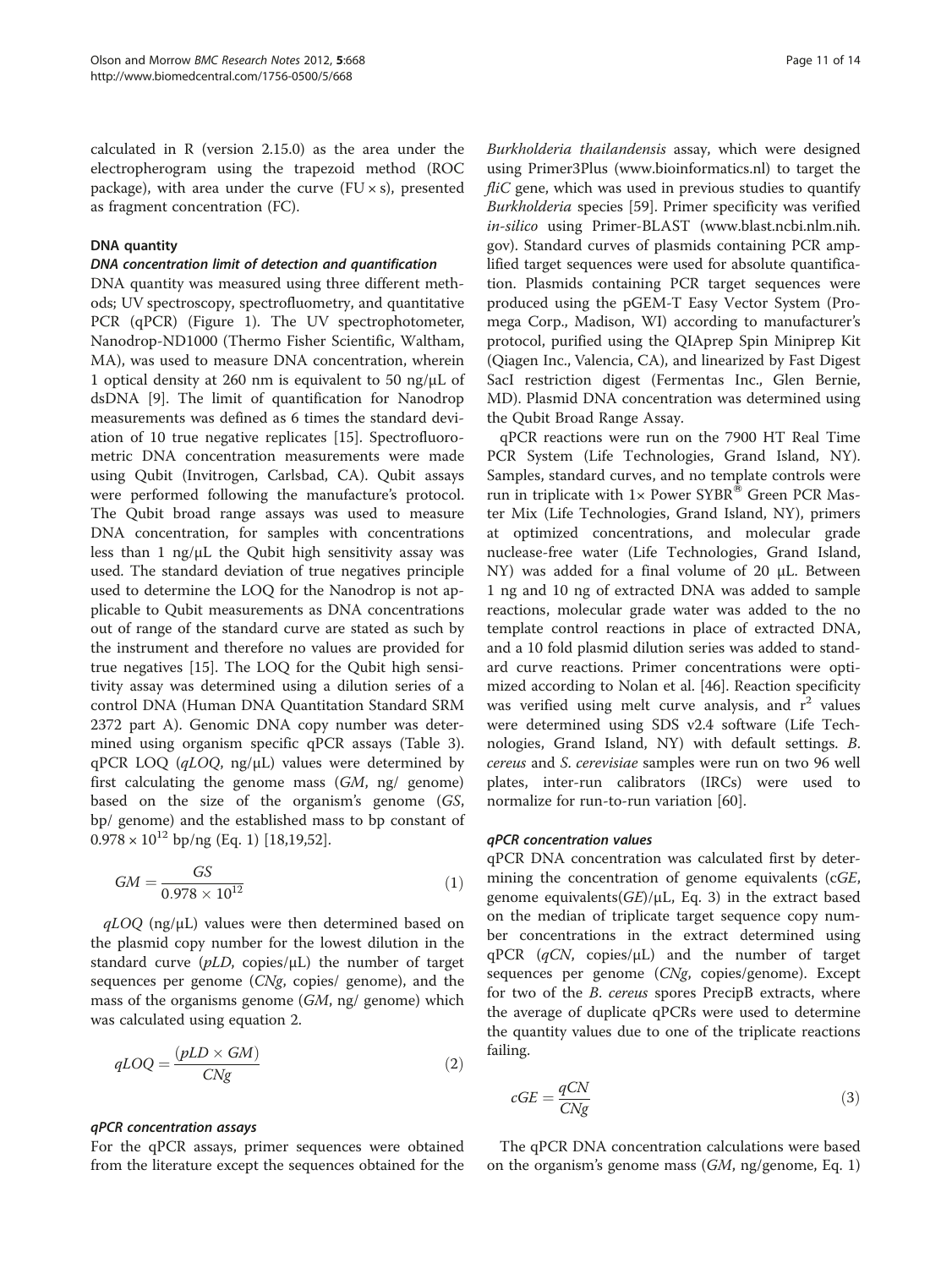calculated in R (version 2.15.0) as the area under the electropherogram using the trapezoid method (ROC package), with area under the curve  $(FU \times s)$ , presented as fragment concentration (FC).

#### DNA quantity

#### DNA concentration limit of detection and quantification

DNA quantity was measured using three different methods; UV spectroscopy, spectrofluometry, and quantitative PCR (qPCR) (Figure [1\)](#page-3-0). The UV spectrophotometer, Nanodrop-ND1000 (Thermo Fisher Scientific, Waltham, MA), was used to measure DNA concentration, wherein 1 optical density at 260 nm is equivalent to 50 ng/μL of dsDNA [[9\]](#page-11-0). The limit of quantification for Nanodrop measurements was defined as 6 times the standard deviation of 10 true negative replicates [[15\]](#page-12-0). Spectrofluorometric DNA concentration measurements were made using Qubit (Invitrogen, Carlsbad, CA). Qubit assays were performed following the manufacture's protocol. The Qubit broad range assays was used to measure DNA concentration, for samples with concentrations less than 1 ng/μL the Qubit high sensitivity assay was used. The standard deviation of true negatives principle used to determine the LOQ for the Nanodrop is not applicable to Qubit measurements as DNA concentrations out of range of the standard curve are stated as such by the instrument and therefore no values are provided for true negatives [\[15](#page-12-0)]. The LOQ for the Qubit high sensitivity assay was determined using a dilution series of a control DNA (Human DNA Quantitation Standard SRM 2372 part A). Genomic DNA copy number was determined using organism specific qPCR assays (Table [3](#page-8-0)). qPCR LOQ ( $qLOQ$ , ng/ $\mu$ L) values were determined by first calculating the genome mass (GM, ng/ genome) based on the size of the organism's genome (GS, bp/ genome) and the established mass to bp constant of  $0.978 \times 10^{12}$  bp/ng (Eq. 1) [\[18,19,52](#page-12-0)].

$$
GM = \frac{GS}{0.978 \times 10^{12}}
$$
 (1)

 $qLOQ$  (ng/ $\mu$ L) values were then determined based on the plasmid copy number for the lowest dilution in the standard curve  $(pLD, copies/µL)$  the number of target sequences per genome (CNg, copies/ genome), and the mass of the organisms genome (GM, ng/ genome) which was calculated using equation 2.

$$
qLOQ = \frac{(pLD \times GM)}{CNg} \tag{2}
$$

#### qPCR concentration assays

For the qPCR assays, primer sequences were obtained from the literature except the sequences obtained for the Burkholderia thailandensis assay, which were designed using Primer3Plus [\(www.bioinformatics.nl](http://www.bioinformatics.nl)) to target the  $fliC$  gene, which was used in previous studies to quantify Burkholderia species [[59](#page-13-0)]. Primer specificity was verified in-silico using Primer-BLAST [\(www.blast.ncbi.nlm.nih.](http://www.blast.ncbi.nlm.nih.gov) [gov](http://www.blast.ncbi.nlm.nih.gov)). Standard curves of plasmids containing PCR amplified target sequences were used for absolute quantification. Plasmids containing PCR target sequences were produced using the pGEM-T Easy Vector System (Promega Corp., Madison, WI) according to manufacturer's protocol, purified using the QIAprep Spin Miniprep Kit (Qiagen Inc., Valencia, CA), and linearized by Fast Digest SacI restriction digest (Fermentas Inc., Glen Bernie, MD). Plasmid DNA concentration was determined using the Qubit Broad Range Assay.

qPCR reactions were run on the 7900 HT Real Time PCR System (Life Technologies, Grand Island, NY). Samples, standard curves, and no template controls were run in triplicate with  $1 \times$  Power SYBR<sup>®</sup> Green PCR Master Mix (Life Technologies, Grand Island, NY), primers at optimized concentrations, and molecular grade nuclease-free water (Life Technologies, Grand Island, NY) was added for a final volume of 20 μL. Between 1 ng and 10 ng of extracted DNA was added to sample reactions, molecular grade water was added to the no template control reactions in place of extracted DNA, and a 10 fold plasmid dilution series was added to standard curve reactions. Primer concentrations were optimized according to Nolan et al. [\[46](#page-12-0)]. Reaction specificity was verified using melt curve analysis, and  $r^2$  values were determined using SDS v2.4 software (Life Technologies, Grand Island, NY) with default settings. B. cereus and S. cerevisiae samples were run on two 96 well plates, inter-run calibrators (IRCs) were used to normalize for run-to-run variation [[60\]](#page-13-0).

#### qPCR concentration values

qPCR DNA concentration was calculated first by determining the concentration of genome equivalents (cGE, genome equivalents( $GE$ )/ $\mu$ L, Eq. 3) in the extract based on the median of triplicate target sequence copy number concentrations in the extract determined using qPCR  $(qCN, copies/µL)$  and the number of target sequences per genome (CNg, copies/genome). Except for two of the B. cereus spores PrecipB extracts, where the average of duplicate qPCRs were used to determine the quantity values due to one of the triplicate reactions failing.

$$
cGE = \frac{qCN}{CNg} \tag{3}
$$

The qPCR DNA concentration calculations were based on the organism's genome mass (GM, ng/genome, Eq. 1)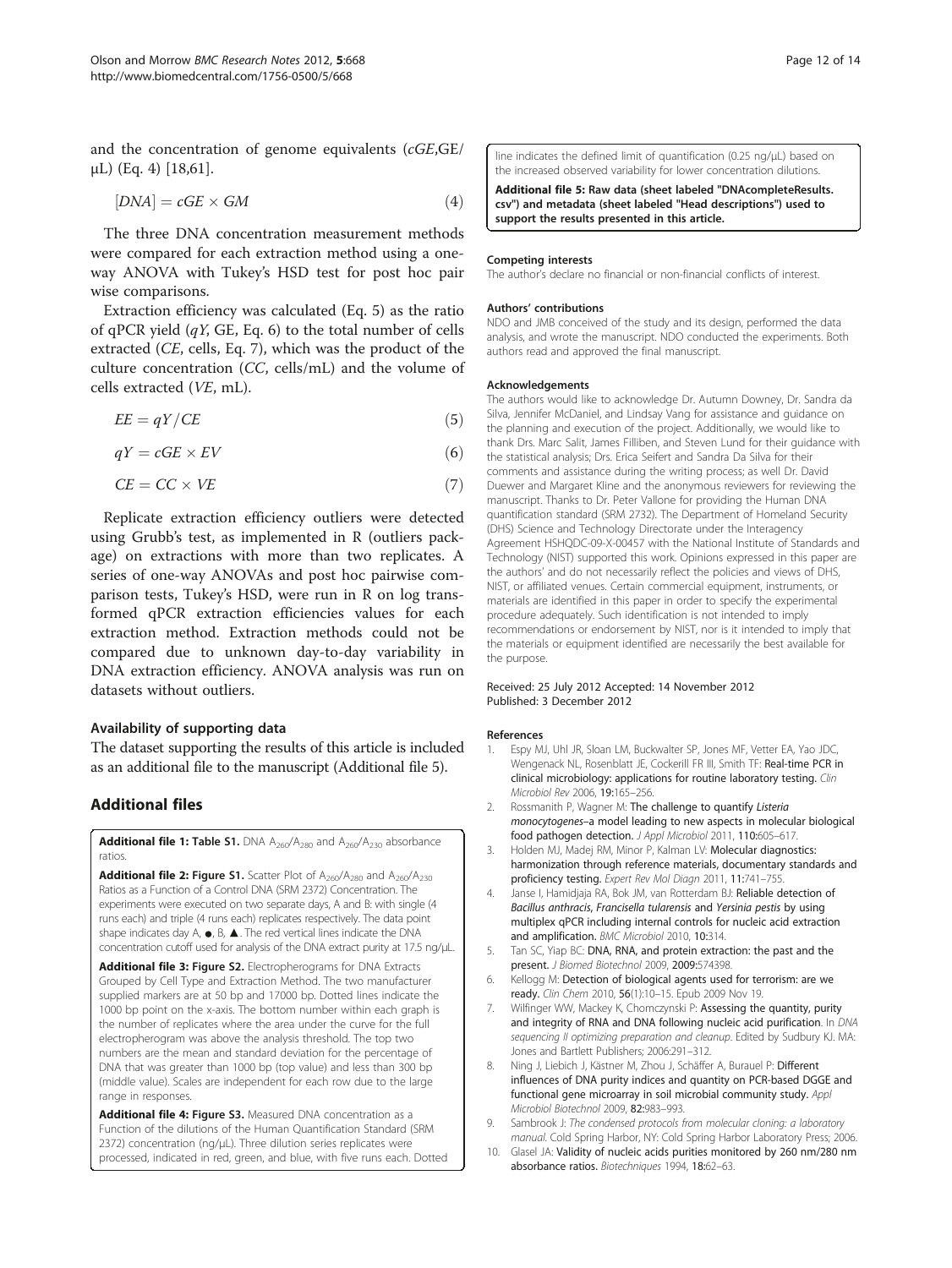<span id="page-11-0"></span>and the concentration of genome equivalents (cGE,GE/ μL) (Eq. 4) [[18,](#page-12-0)[61\]](#page-13-0).

$$
[DNA] = cGE \times GM \tag{4}
$$

The three DNA concentration measurement methods were compared for each extraction method using a oneway ANOVA with Tukey's HSD test for post hoc pair wise comparisons.

Extraction efficiency was calculated (Eq. 5) as the ratio of qPCR yield  $(qY, GE, Eq. 6)$  to the total number of cells extracted (CE, cells, Eq. 7), which was the product of the culture concentration (CC, cells/mL) and the volume of cells extracted (VE, mL).

$$
EE = qY/CE \tag{5}
$$

$$
qY = cGE \times EV \tag{6}
$$

$$
CE = CC \times VE \tag{7}
$$

Replicate extraction efficiency outliers were detected using Grubb's test, as implemented in R (outliers package) on extractions with more than two replicates. A series of one-way ANOVAs and post hoc pairwise comparison tests, Tukey's HSD, were run in R on log transformed qPCR extraction efficiencies values for each extraction method. Extraction methods could not be compared due to unknown day-to-day variability in DNA extraction efficiency. ANOVA analysis was run on datasets without outliers.

#### Availability of supporting data

The dataset supporting the results of this article is included as an additional file to the manuscript (Additional file 5).

## Additional files

[Additional file 1:](http://www.biomedcentral.com/content/supplementary/1756-0500-5-668-S1.doc) Table S1. DNA  $A_{260}/A_{280}$  and  $A_{260}/A_{230}$  absorbance ratios.

**[Additional file 2:](http://www.biomedcentral.com/content/supplementary/1756-0500-5-668-S2.pdf) Figure S1.** Scatter Plot of  $A_{260}/A_{280}$  and  $A_{260}/A_{230}$ Ratios as a Function of a Control DNA (SRM 2372) Concentration. The experiments were executed on two separate days, A and B: with single (4 runs each) and triple (4 runs each) replicates respectively. The data point shape indicates day A,  $\bullet$ , B,  $\blacktriangle$ . The red vertical lines indicate the DNA concentration cutoff used for analysis of the DNA extract purity at 17.5 ng/μL.

[Additional file 3:](http://www.biomedcentral.com/content/supplementary/1756-0500-5-668-S3.pdf) Figure S2. Electropherograms for DNA Extracts Grouped by Cell Type and Extraction Method. The two manufacturer supplied markers are at 50 bp and 17000 bp. Dotted lines indicate the 1000 bp point on the x-axis. The bottom number within each graph is the number of replicates where the area under the curve for the full electropherogram was above the analysis threshold. The top two numbers are the mean and standard deviation for the percentage of DNA that was greater than 1000 bp (top value) and less than 300 bp (middle value). Scales are independent for each row due to the large range in responses.

[Additional file 4:](http://www.biomedcentral.com/content/supplementary/1756-0500-5-668-S4.pdf) Figure S3. Measured DNA concentration as a Function of the dilutions of the Human Quantification Standard (SRM 2372) concentration (ng/μL). Three dilution series replicates were processed, indicated in red, green, and blue, with five runs each. Dotted line indicates the defined limit of quantification (0.25 ng/μL) based on the increased observed variability for lower concentration dilutions.

[Additional file 5:](http://www.biomedcentral.com/content/supplementary/1756-0500-5-668-S5.xlsx) Raw data (sheet labeled "DNAcompleteResults. csv") and metadata (sheet labeled "Head descriptions") used to support the results presented in this article.

#### Competing interests

The author's declare no financial or non-financial conflicts of interest.

#### Authors' contributions

NDO and JMB conceived of the study and its design, performed the data analysis, and wrote the manuscript. NDO conducted the experiments. Both authors read and approved the final manuscript.

#### Acknowledgements

The authors would like to acknowledge Dr. Autumn Downey, Dr. Sandra da Silva, Jennifer McDaniel, and Lindsay Vang for assistance and guidance on the planning and execution of the project. Additionally, we would like to thank Drs. Marc Salit, James Filliben, and Steven Lund for their guidance with the statistical analysis; Drs. Erica Seifert and Sandra Da Silva for their comments and assistance during the writing process; as well Dr. David Duewer and Margaret Kline and the anonymous reviewers for reviewing the manuscript. Thanks to Dr. Peter Vallone for providing the Human DNA quantification standard (SRM 2732). The Department of Homeland Security (DHS) Science and Technology Directorate under the Interagency Agreement HSHQDC-09-X-00457 with the National Institute of Standards and Technology (NIST) supported this work. Opinions expressed in this paper are the authors' and do not necessarily reflect the policies and views of DHS, NIST, or affiliated venues. Certain commercial equipment, instruments, or materials are identified in this paper in order to specify the experimental procedure adequately. Such identification is not intended to imply recommendations or endorsement by NIST, nor is it intended to imply that the materials or equipment identified are necessarily the best available for the purpose.

#### Received: 25 July 2012 Accepted: 14 November 2012 Published: 3 December 2012

#### References

- 1. Espy MJ, Uhl JR, Sloan LM, Buckwalter SP, Jones MF, Vetter EA, Yao JDC, Wengenack NL, Rosenblatt JE, Cockerill FR III, Smith TF: Real-time PCR in clinical microbiology: applications for routine laboratory testing. Clin Microbiol Rev 2006, 19:165–256.
- 2. Rossmanith P, Wagner M: The challenge to quantify Listeria monocytogenes–a model leading to new aspects in molecular biological food pathogen detection. J Appl Microbiol 2011, 110:605–617.
- Holden MJ, Madej RM, Minor P, Kalman LV: Molecular diagnostics: harmonization through reference materials, documentary standards and proficiency testing. Expert Rev Mol Diagn 2011, 11:741–755.
- 4. Janse I, Hamidjaja RA, Bok JM, van Rotterdam BJ: Reliable detection of Bacillus anthracis, Francisella tularensis and Yersinia pestis by using multiplex qPCR including internal controls for nucleic acid extraction and amplification. BMC Microbiol 2010, 10:314.
- 5. Tan SC, Yiap BC: DNA, RNA, and protein extraction: the past and the present. J Biomed Biotechnol 2009, 2009:574398.
- 6. Kellogg M: Detection of biological agents used for terrorism: are we ready. Clin Chem 2010, 56(1):10–15. Epub 2009 Nov 19.
- 7. Wilfinger WW, Mackey K, Chomczynski P: Assessing the quantity, purity and integrity of RNA and DNA following nucleic acid purification. In DNA sequencing II optimizing preparation and cleanup. Edited by Sudbury KJ. MA: Jones and Bartlett Publishers; 2006:291–312.
- 8. Ning J, Liebich J, Kästner M, Zhou J, Schäffer A, Burauel P: Different influences of DNA purity indices and quantity on PCR-based DGGE and functional gene microarray in soil microbial community study. Appl Microbiol Biotechnol 2009, 82:983–993.
- Sambrook J: The condensed protocols from molecular cloning: a laboratory manual. Cold Spring Harbor, NY: Cold Spring Harbor Laboratory Press; 2006.
- 10. Glasel JA: Validity of nucleic acids purities monitored by 260 nm/280 nm absorbance ratios. Biotechniques 1994, 18:62–63.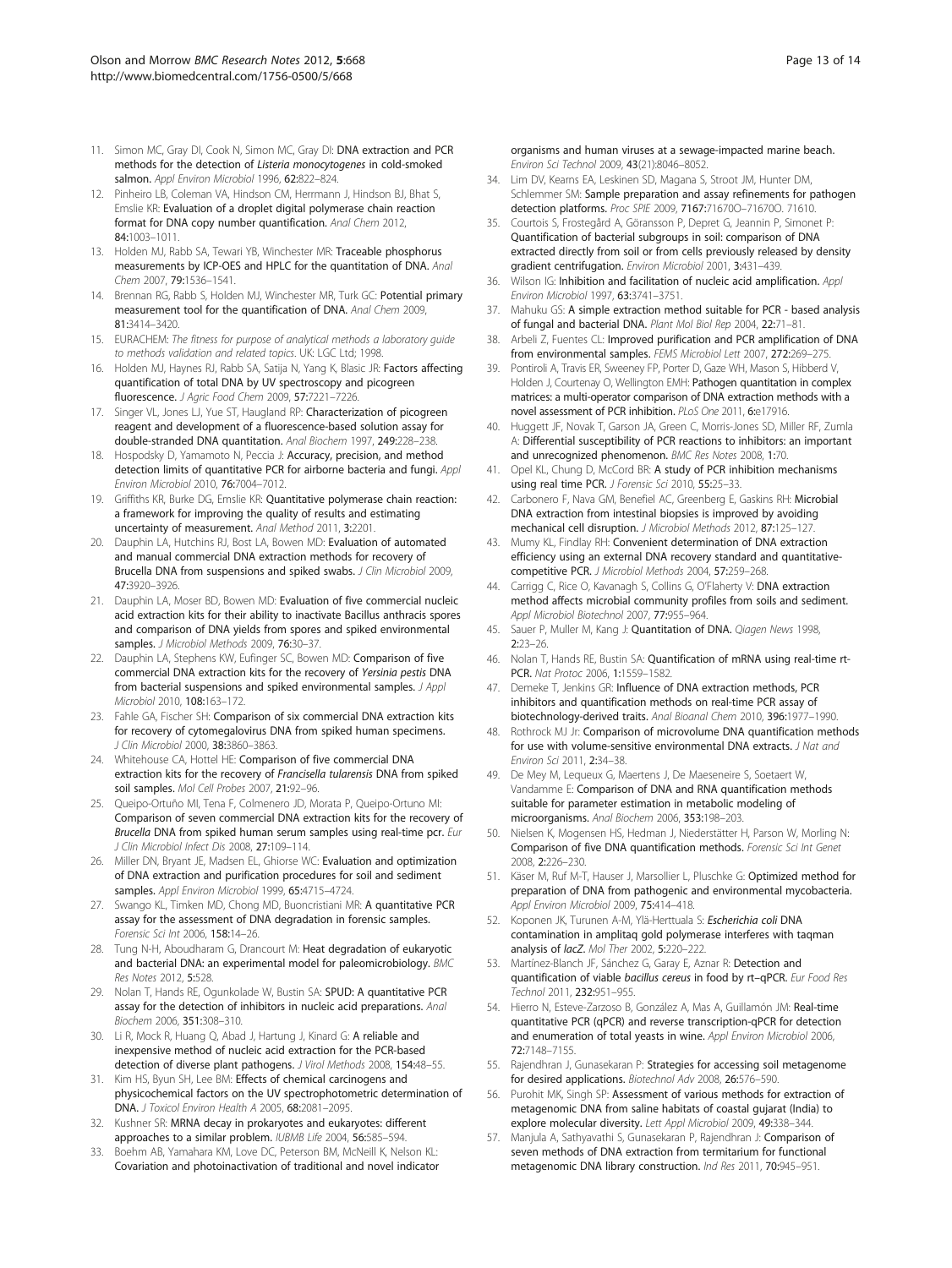- <span id="page-12-0"></span>11. Simon MC, Gray DI, Cook N, Simon MC, Gray DI: DNA extraction and PCR methods for the detection of Listeria monocytogenes in cold-smoked salmon. Appl Environ Microbiol 1996, 62:822-824.
- 12. Pinheiro LB, Coleman VA, Hindson CM, Herrmann J, Hindson BJ, Bhat S, Emslie KR: Evaluation of a droplet digital polymerase chain reaction format for DNA copy number quantification. Anal Chem 2012, 84:1003–1011.
- 13. Holden MJ, Rabb SA, Tewari YB, Winchester MR: Traceable phosphorus measurements by ICP-OES and HPLC for the quantitation of DNA. Anal Chem 2007, 79:1536–1541.
- 14. Brennan RG, Rabb S, Holden MJ, Winchester MR, Turk GC: Potential primary measurement tool for the quantification of DNA. Anal Chem 2009, 81:3414–3420.
- 15. EURACHEM: The fitness for purpose of analytical methods a laboratory guide to methods validation and related topics. UK: LGC Ltd; 1998.
- 16. Holden MJ, Haynes RJ, Rabb SA, Satija N, Yang K, Blasic JR: Factors affecting quantification of total DNA by UV spectroscopy and picogreen fluorescence. J Agric Food Chem 2009, 57:7221–7226.
- 17. Singer VL, Jones LJ, Yue ST, Haugland RP: Characterization of picogreen reagent and development of a fluorescence-based solution assay for double-stranded DNA quantitation. Anal Biochem 1997, 249:228–238.
- 18. Hospodsky D, Yamamoto N, Peccia J: Accuracy, precision, and method detection limits of quantitative PCR for airborne bacteria and fungi. Appl Environ Microbiol 2010, 76:7004–7012.
- 19. Griffiths KR, Burke DG, Emslie KR: Quantitative polymerase chain reaction: a framework for improving the quality of results and estimating uncertainty of measurement. Anal Method 2011, 3:2201.
- 20. Dauphin LA, Hutchins RJ, Bost LA, Bowen MD: Evaluation of automated and manual commercial DNA extraction methods for recovery of Brucella DNA from suspensions and spiked swabs. J Clin Microbiol 2009, 47:3920–3926.
- 21. Dauphin LA, Moser BD, Bowen MD: Evaluation of five commercial nucleic acid extraction kits for their ability to inactivate Bacillus anthracis spores and comparison of DNA yields from spores and spiked environmental samples. J Microbiol Methods 2009, 76:30-37.
- 22. Dauphin LA, Stephens KW, Eufinger SC, Bowen MD: Comparison of five commercial DNA extraction kits for the recovery of Yersinia pestis DNA from bacterial suspensions and spiked environmental samples. J Appl Microbiol 2010, 108:163–172.
- 23. Fahle GA, Fischer SH: Comparison of six commercial DNA extraction kits for recovery of cytomegalovirus DNA from spiked human specimens. J Clin Microbiol 2000, 38:3860–3863.
- 24. Whitehouse CA, Hottel HE: Comparison of five commercial DNA extraction kits for the recovery of Francisella tularensis DNA from spiked soil samples. Mol Cell Probes 2007, 21:92–96.
- 25. Queipo-Ortuño MI, Tena F, Colmenero JD, Morata P, Queipo-Ortuno MI: Comparison of seven commercial DNA extraction kits for the recovery of Brucella DNA from spiked human serum samples using real-time pcr. Eur J Clin Microbiol Infect Dis 2008, 27:109–114.
- 26. Miller DN, Bryant JE, Madsen EL, Ghiorse WC: Evaluation and optimization of DNA extraction and purification procedures for soil and sediment samples. Appl Environ Microbiol 1999, 65:4715-4724.
- 27. Swango KL, Timken MD, Chong MD, Buoncristiani MR: A quantitative PCR assay for the assessment of DNA degradation in forensic samples. Forensic Sci Int 2006, 158:14–26.
- 28. Tung N-H, Aboudharam G, Drancourt M: Heat degradation of eukaryotic and bacterial DNA: an experimental model for paleomicrobiology. BMC Res Notes 2012, 5:528.
- 29. Nolan T, Hands RE, Ogunkolade W, Bustin SA: SPUD: A quantitative PCR assay for the detection of inhibitors in nucleic acid preparations. Anal Biochem 2006, 351:308–310.
- 30. Li R, Mock R, Huang Q, Abad J, Hartung J, Kinard G: A reliable and inexpensive method of nucleic acid extraction for the PCR-based detection of diverse plant pathogens. J Virol Methods 2008, 154:48-55.
- 31. Kim HS, Byun SH, Lee BM: Effects of chemical carcinogens and physicochemical factors on the UV spectrophotometric determination of DNA. J Toxicol Environ Health A 2005, 68:2081–2095.
- 32. Kushner SR: MRNA decay in prokaryotes and eukaryotes: different approaches to a similar problem. IUBMB Life 2004, 56:585–594.
- 33. Boehm AB, Yamahara KM, Love DC, Peterson BM, McNeill K, Nelson KL: Covariation and photoinactivation of traditional and novel indicator

organisms and human viruses at a sewage-impacted marine beach. Environ Sci Technol 2009, 43(21):8046–8052.

- 34. Lim DV, Kearns EA, Leskinen SD, Magana S, Stroot JM, Hunter DM, Schlemmer SM: Sample preparation and assay refinements for pathogen detection platforms. Proc SPIE 2009, 7167:71670O–71670O. 71610.
- 35. Courtois S, Frostegård A, Göransson P, Depret G, Jeannin P, Simonet P: Quantification of bacterial subgroups in soil: comparison of DNA extracted directly from soil or from cells previously released by density gradient centrifugation. Environ Microbiol 2001, 3:431–439.
- 36. Wilson IG: Inhibition and facilitation of nucleic acid amplification. Appl Environ Microbiol 1997, 63:3741–3751.
- 37. Mahuku GS: A simple extraction method suitable for PCR based analysis of fungal and bacterial DNA. Plant Mol Biol Rep 2004, 22:71–81.
- 38. Arbeli Z, Fuentes CL: Improved purification and PCR amplification of DNA from environmental samples. FEMS Microbiol Lett 2007, 272:269–275.
- 39. Pontiroli A, Travis ER, Sweeney FP, Porter D, Gaze WH, Mason S, Hibberd V, Holden J, Courtenay O, Wellington EMH: Pathogen quantitation in complex matrices: a multi-operator comparison of DNA extraction methods with a novel assessment of PCR inhibition. PLoS One 2011, 6:e17916.
- 40. Huggett JF, Novak T, Garson JA, Green C, Morris-Jones SD, Miller RF, Zumla A: Differential susceptibility of PCR reactions to inhibitors: an important and unrecognized phenomenon. BMC Res Notes 2008, 1:70.
- 41. Opel KL, Chung D, McCord BR: A study of PCR inhibition mechanisms using real time PCR. J Forensic Sci 2010, 55:25-33.
- 42. Carbonero F, Nava GM, Benefiel AC, Greenberg E, Gaskins RH: Microbial DNA extraction from intestinal biopsies is improved by avoiding mechanical cell disruption. J Microbiol Methods 2012, 87:125–127.
- 43. Mumy KL, Findlay RH: Convenient determination of DNA extraction efficiency using an external DNA recovery standard and quantitativecompetitive PCR. J Microbiol Methods 2004, 57:259–268.
- 44. Carrigg C, Rice O, Kavanagh S, Collins G, O'Flaherty V: DNA extraction method affects microbial community profiles from soils and sediment. Appl Microbiol Biotechnol 2007, 77:955–964.
- 45. Sauer P, Muller M, Kang J: Quantitation of DNA. Qiagen News 1998,  $2.23 - 26$
- 46. Nolan T, Hands RE, Bustin SA: Quantification of mRNA using real-time rt-PCR. Nat Protoc 2006, 1:1559–1582.
- 47. Demeke T, Jenkins GR: Influence of DNA extraction methods, PCR inhibitors and quantification methods on real-time PCR assay of biotechnology-derived traits. Anal Bioanal Chem 2010, 396:1977–1990.
- 48. Rothrock MJ Jr: Comparison of microvolume DNA quantification methods for use with volume-sensitive environmental DNA extracts. J Nat and Environ Sci 2011, 2:34–38.
- 49. De Mey M, Lequeux G, Maertens J, De Maeseneire S, Soetaert W, Vandamme E: Comparison of DNA and RNA quantification methods suitable for parameter estimation in metabolic modeling of microorganisms. Anal Biochem 2006, 353:198–203.
- 50. Nielsen K, Mogensen HS, Hedman J, Niederstätter H, Parson W, Morling N: Comparison of five DNA quantification methods. Forensic Sci Int Genet 2008, 2:226–230.
- 51. Käser M, Ruf M-T, Hauser J, Marsollier L, Pluschke G: Optimized method for preparation of DNA from pathogenic and environmental mycobacteria. Appl Environ Microbiol 2009, 75:414-418.
- 52. Koponen JK, Turunen A-M, Ylä-Herttuala S: Escherichia coli DNA contamination in amplitaq gold polymerase interferes with taqman analysis of lacZ. Mol Ther 2002, 5:220-222.
- 53. Martínez-Blanch JF, Sánchez G, Garay E, Aznar R: Detection and quantification of viable bacillus cereus in food by rt–qPCR. Eur Food Res Technol 2011, 232:951–955.
- 54. Hierro N, Esteve-Zarzoso B, González A, Mas A, Guillamón JM: Real-time quantitative PCR (qPCR) and reverse transcription-qPCR for detection and enumeration of total yeasts in wine. Appl Environ Microbiol 2006, 72:7148–7155.
- 55. Rajendhran J, Gunasekaran P: Strategies for accessing soil metagenome for desired applications. Biotechnol Adv 2008, 26:576–590.
- 56. Purohit MK, Singh SP: Assessment of various methods for extraction of metagenomic DNA from saline habitats of coastal gujarat (India) to explore molecular diversity. Lett Appl Microbiol 2009, 49:338–344.
- 57. Manjula A, Sathyavathi S, Gunasekaran P, Rajendhran J: Comparison of seven methods of DNA extraction from termitarium for functional metagenomic DNA library construction. Ind Res 2011, 70:945–951.